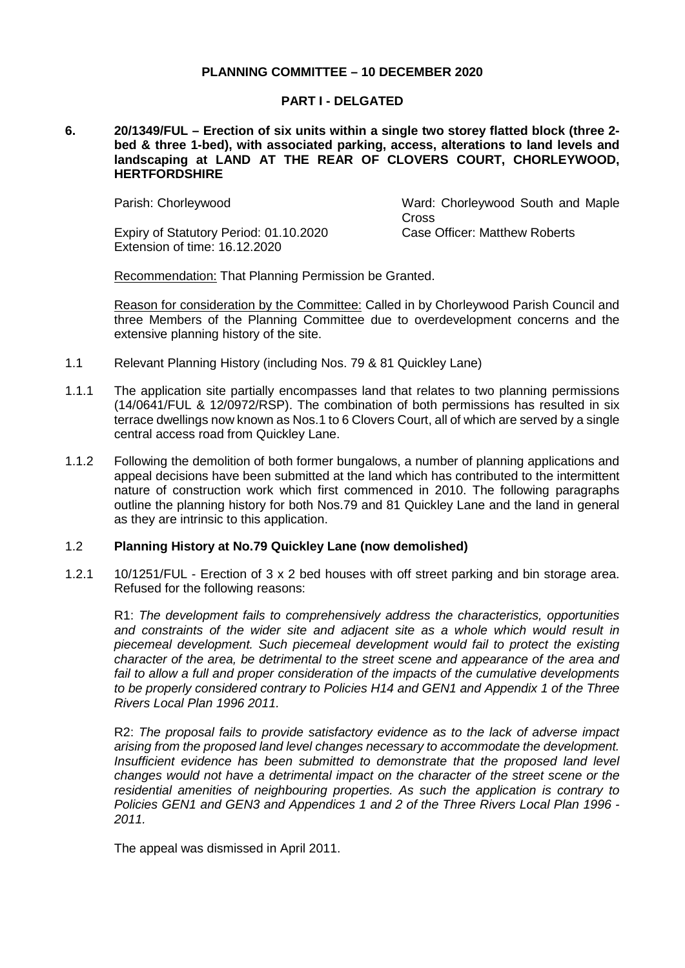## **PLANNING COMMITTEE – 10 DECEMBER 2020**

### **PART I - DELGATED**

#### **6. 20/1349/FUL – Erection of six units within a single two storey flatted block (three 2 bed & three 1-bed), with associated parking, access, alterations to land levels and landscaping at LAND AT THE REAR OF CLOVERS COURT, CHORLEYWOOD, HERTFORDSHIRE**

Expiry of Statutory Period: 01.10.2020 Extension of time: 16.12.2020

Parish: Chorleywood Ward: Chorleywood South and Maple **Cross** Case Officer: Matthew Roberts

Recommendation: That Planning Permission be Granted.

Reason for consideration by the Committee: Called in by Chorleywood Parish Council and three Members of the Planning Committee due to overdevelopment concerns and the extensive planning history of the site.

- 1.1 Relevant Planning History (including Nos. 79 & 81 Quickley Lane)
- 1.1.1 The application site partially encompasses land that relates to two planning permissions (14/0641/FUL & 12/0972/RSP). The combination of both permissions has resulted in six terrace dwellings now known as Nos.1 to 6 Clovers Court, all of which are served by a single central access road from Quickley Lane.
- 1.1.2 Following the demolition of both former bungalows, a number of planning applications and appeal decisions have been submitted at the land which has contributed to the intermittent nature of construction work which first commenced in 2010. The following paragraphs outline the planning history for both Nos.79 and 81 Quickley Lane and the land in general as they are intrinsic to this application.

### 1.2 **Planning History at No.79 Quickley Lane (now demolished)**

1.2.1 10/1251/FUL - Erection of 3 x 2 bed houses with off street parking and bin storage area. Refused for the following reasons:

R1: *The development fails to comprehensively address the characteristics, opportunities and constraints of the wider site and adjacent site as a whole which would result in piecemeal development. Such piecemeal development would fail to protect the existing character of the area, be detrimental to the street scene and appearance of the area and*  fail to allow a full and proper consideration of the impacts of the cumulative developments *to be properly considered contrary to Policies H14 and GEN1 and Appendix 1 of the Three Rivers Local Plan 1996 2011.*

R2: *The proposal fails to provide satisfactory evidence as to the lack of adverse impact arising from the proposed land level changes necessary to accommodate the development. Insufficient evidence has been submitted to demonstrate that the proposed land level changes would not have a detrimental impact on the character of the street scene or the residential amenities of neighbouring properties. As such the application is contrary to Policies GEN1 and GEN3 and Appendices 1 and 2 of the Three Rivers Local Plan 1996 - 2011.*

The appeal was dismissed in April 2011.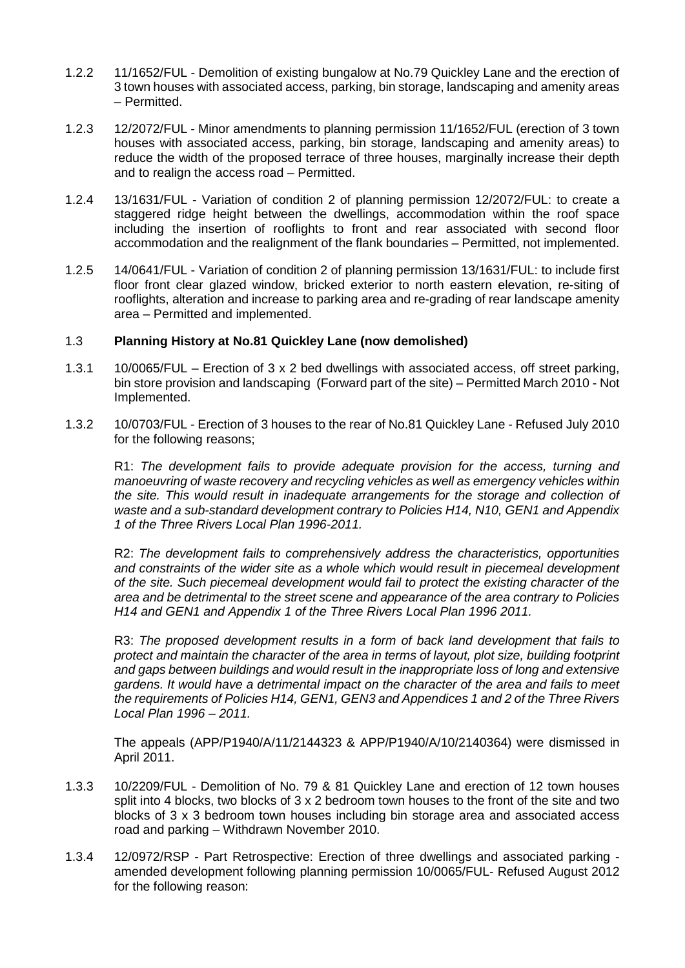- 1.2.2 11/1652/FUL Demolition of existing bungalow at No.79 Quickley Lane and the erection of 3 town houses with associated access, parking, bin storage, landscaping and amenity areas – Permitted.
- 1.2.3 12/2072/FUL Minor amendments to planning permission 11/1652/FUL (erection of 3 town houses with associated access, parking, bin storage, landscaping and amenity areas) to reduce the width of the proposed terrace of three houses, marginally increase their depth and to realign the access road – Permitted.
- 1.2.4 13/1631/FUL Variation of condition 2 of planning permission 12/2072/FUL: to create a staggered ridge height between the dwellings, accommodation within the roof space including the insertion of rooflights to front and rear associated with second floor accommodation and the realignment of the flank boundaries – Permitted, not implemented.
- 1.2.5 14/0641/FUL Variation of condition 2 of planning permission 13/1631/FUL: to include first floor front clear glazed window, bricked exterior to north eastern elevation, re-siting of rooflights, alteration and increase to parking area and re-grading of rear landscape amenity area – Permitted and implemented.

# 1.3 **Planning History at No.81 Quickley Lane (now demolished)**

- 1.3.1 10/0065/FUL Erection of 3 x 2 bed dwellings with associated access, off street parking, bin store provision and landscaping (Forward part of the site) – Permitted March 2010 - Not Implemented.
- 1.3.2 10/0703/FUL Erection of 3 houses to the rear of No.81 Quickley Lane Refused July 2010 for the following reasons;

R1: *The development fails to provide adequate provision for the access, turning and manoeuvring of waste recovery and recycling vehicles as well as emergency vehicles within the site. This would result in inadequate arrangements for the storage and collection of waste and a sub-standard development contrary to Policies H14, N10, GEN1 and Appendix 1 of the Three Rivers Local Plan 1996-2011.*

R2: *The development fails to comprehensively address the characteristics, opportunities and constraints of the wider site as a whole which would result in piecemeal development of the site. Such piecemeal development would fail to protect the existing character of the area and be detrimental to the street scene and appearance of the area contrary to Policies H14 and GEN1 and Appendix 1 of the Three Rivers Local Plan 1996 2011.*

R3: *The proposed development results in a form of back land development that fails to protect and maintain the character of the area in terms of layout, plot size, building footprint and gaps between buildings and would result in the inappropriate loss of long and extensive gardens. It would have a detrimental impact on the character of the area and fails to meet the requirements of Policies H14, GEN1, GEN3 and Appendices 1 and 2 of the Three Rivers Local Plan 1996 – 2011.*

The appeals (APP/P1940/A/11/2144323 & APP/P1940/A/10/2140364) were dismissed in April 2011.

- 1.3.3 10/2209/FUL Demolition of No. 79 & 81 Quickley Lane and erection of 12 town houses split into 4 blocks, two blocks of  $3 \times 2$  bedroom town houses to the front of the site and two blocks of 3 x 3 bedroom town houses including bin storage area and associated access road and parking – Withdrawn November 2010.
- 1.3.4 12/0972/RSP Part Retrospective: Erection of three dwellings and associated parking amended development following planning permission 10/0065/FUL- Refused August 2012 for the following reason: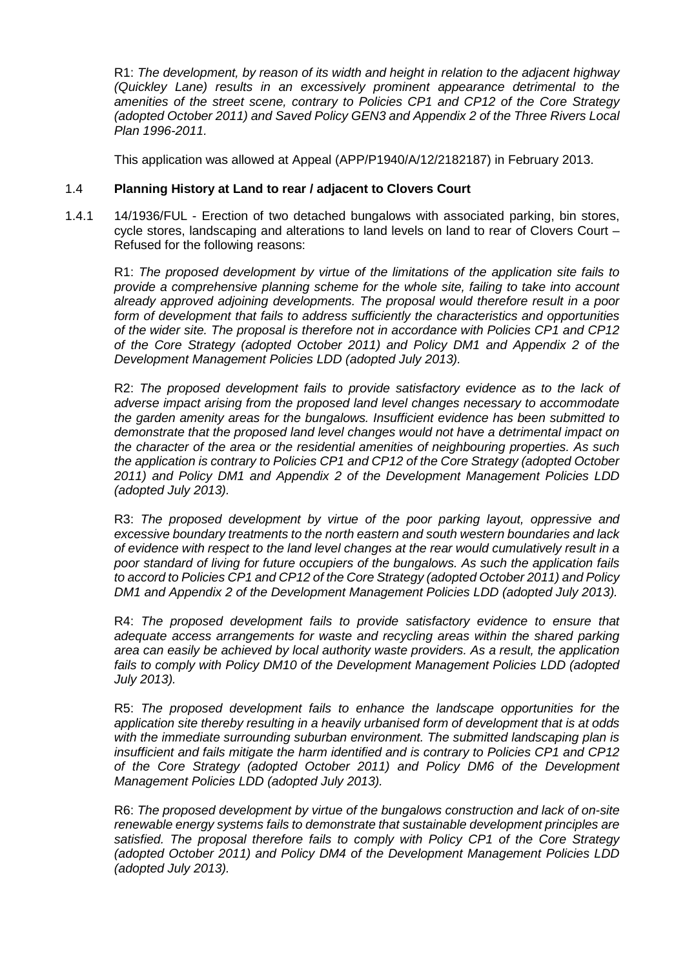R1: *The development, by reason of its width and height in relation to the adjacent highway (Quickley Lane) results in an excessively prominent appearance detrimental to the amenities of the street scene, contrary to Policies CP1 and CP12 of the Core Strategy (adopted October 2011) and Saved Policy GEN3 and Appendix 2 of the Three Rivers Local Plan 1996-2011.*

This application was allowed at Appeal (APP/P1940/A/12/2182187) in February 2013.

## 1.4 **Planning History at Land to rear / adjacent to Clovers Court**

1.4.1 14/1936/FUL - Erection of two detached bungalows with associated parking, bin stores, cycle stores, landscaping and alterations to land levels on land to rear of Clovers Court – Refused for the following reasons:

R1: *The proposed development by virtue of the limitations of the application site fails to provide a comprehensive planning scheme for the whole site, failing to take into account already approved adjoining developments. The proposal would therefore result in a poor form of development that fails to address sufficiently the characteristics and opportunities of the wider site. The proposal is therefore not in accordance with Policies CP1 and CP12 of the Core Strategy (adopted October 2011) and Policy DM1 and Appendix 2 of the Development Management Policies LDD (adopted July 2013).*

R2: *The proposed development fails to provide satisfactory evidence as to the lack of adverse impact arising from the proposed land level changes necessary to accommodate the garden amenity areas for the bungalows. Insufficient evidence has been submitted to demonstrate that the proposed land level changes would not have a detrimental impact on the character of the area or the residential amenities of neighbouring properties. As such the application is contrary to Policies CP1 and CP12 of the Core Strategy (adopted October 2011) and Policy DM1 and Appendix 2 of the Development Management Policies LDD (adopted July 2013).*

R3: *The proposed development by virtue of the poor parking layout, oppressive and excessive boundary treatments to the north eastern and south western boundaries and lack of evidence with respect to the land level changes at the rear would cumulatively result in a poor standard of living for future occupiers of the bungalows. As such the application fails to accord to Policies CP1 and CP12 of the Core Strategy (adopted October 2011) and Policy DM1 and Appendix 2 of the Development Management Policies LDD (adopted July 2013).*

R4: *The proposed development fails to provide satisfactory evidence to ensure that adequate access arrangements for waste and recycling areas within the shared parking area can easily be achieved by local authority waste providers. As a result, the application fails to comply with Policy DM10 of the Development Management Policies LDD (adopted July 2013).*

R5: *The proposed development fails to enhance the landscape opportunities for the application site thereby resulting in a heavily urbanised form of development that is at odds with the immediate surrounding suburban environment. The submitted landscaping plan is insufficient and fails mitigate the harm identified and is contrary to Policies CP1 and CP12 of the Core Strategy (adopted October 2011) and Policy DM6 of the Development Management Policies LDD (adopted July 2013).*

R6: *The proposed development by virtue of the bungalows construction and lack of on-site renewable energy systems fails to demonstrate that sustainable development principles are satisfied. The proposal therefore fails to comply with Policy CP1 of the Core Strategy (adopted October 2011) and Policy DM4 of the Development Management Policies LDD (adopted July 2013).*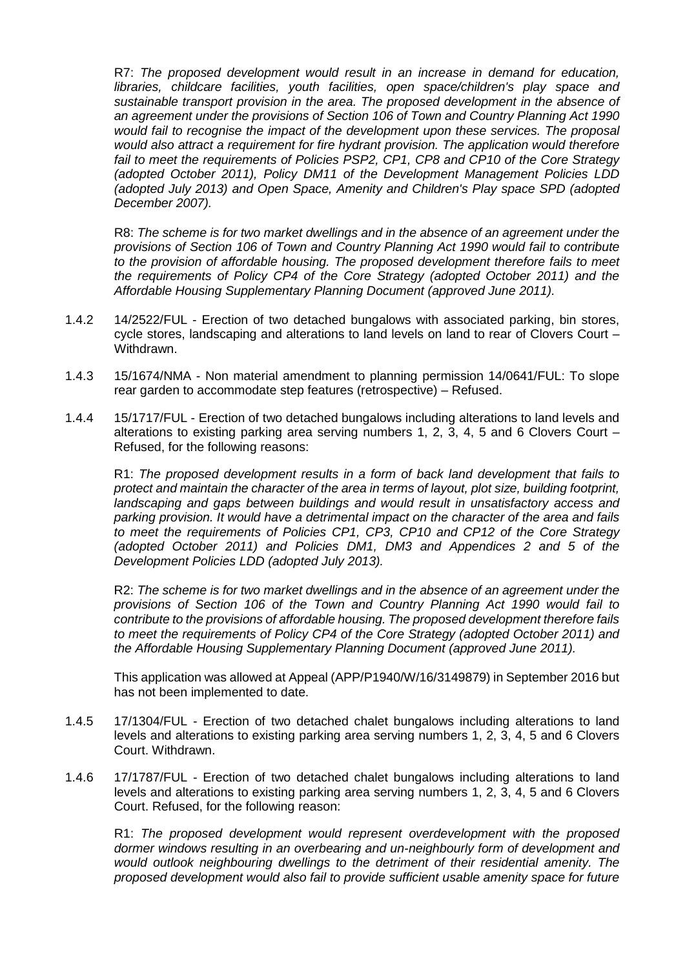R7: *The proposed development would result in an increase in demand for education, libraries, childcare facilities, youth facilities, open space/children's play space and sustainable transport provision in the area. The proposed development in the absence of an agreement under the provisions of Section 106 of Town and Country Planning Act 1990 would fail to recognise the impact of the development upon these services. The proposal would also attract a requirement for fire hydrant provision. The application would therefore fail to meet the requirements of Policies PSP2, CP1, CP8 and CP10 of the Core Strategy (adopted October 2011), Policy DM11 of the Development Management Policies LDD (adopted July 2013) and Open Space, Amenity and Children's Play space SPD (adopted December 2007).*

R8: *The scheme is for two market dwellings and in the absence of an agreement under the provisions of Section 106 of Town and Country Planning Act 1990 would fail to contribute to the provision of affordable housing. The proposed development therefore fails to meet the requirements of Policy CP4 of the Core Strategy (adopted October 2011) and the Affordable Housing Supplementary Planning Document (approved June 2011).*

- 1.4.2 14/2522/FUL Erection of two detached bungalows with associated parking, bin stores, cycle stores, landscaping and alterations to land levels on land to rear of Clovers Court – Withdrawn.
- 1.4.3 15/1674/NMA Non material amendment to planning permission 14/0641/FUL: To slope rear garden to accommodate step features (retrospective) – Refused.
- 1.4.4 15/1717/FUL Erection of two detached bungalows including alterations to land levels and alterations to existing parking area serving numbers 1, 2, 3, 4, 5 and 6 Clovers Court – Refused, for the following reasons:

R1: *The proposed development results in a form of back land development that fails to protect and maintain the character of the area in terms of layout, plot size, building footprint, landscaping and gaps between buildings and would result in unsatisfactory access and parking provision. It would have a detrimental impact on the character of the area and fails to meet the requirements of Policies CP1, CP3, CP10 and CP12 of the Core Strategy (adopted October 2011) and Policies DM1, DM3 and Appendices 2 and 5 of the Development Policies LDD (adopted July 2013).*

R2: *The scheme is for two market dwellings and in the absence of an agreement under the provisions of Section 106 of the Town and Country Planning Act 1990 would fail to contribute to the provisions of affordable housing. The proposed development therefore fails to meet the requirements of Policy CP4 of the Core Strategy (adopted October 2011) and the Affordable Housing Supplementary Planning Document (approved June 2011).*

This application was allowed at Appeal (APP/P1940/W/16/3149879) in September 2016 but has not been implemented to date.

- 1.4.5 17/1304/FUL Erection of two detached chalet bungalows including alterations to land levels and alterations to existing parking area serving numbers 1, 2, 3, 4, 5 and 6 Clovers Court. Withdrawn.
- 1.4.6 17/1787/FUL Erection of two detached chalet bungalows including alterations to land levels and alterations to existing parking area serving numbers 1, 2, 3, 4, 5 and 6 Clovers Court. Refused, for the following reason:

R1: *The proposed development would represent overdevelopment with the proposed dormer windows resulting in an overbearing and un-neighbourly form of development and would outlook neighbouring dwellings to the detriment of their residential amenity. The proposed development would also fail to provide sufficient usable amenity space for future*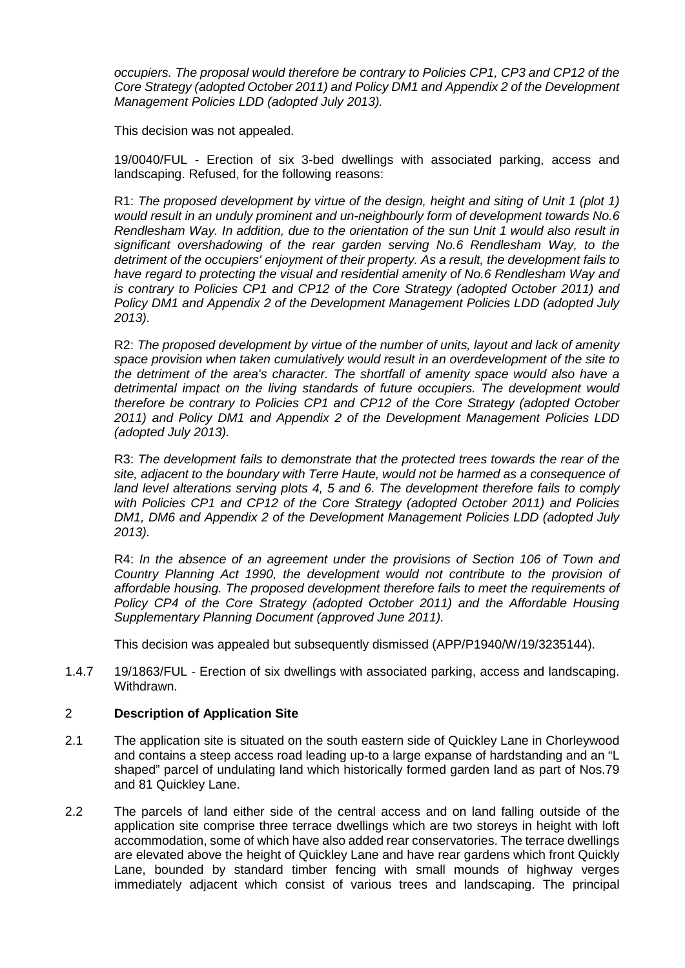*occupiers. The proposal would therefore be contrary to Policies CP1, CP3 and CP12 of the Core Strategy (adopted October 2011) and Policy DM1 and Appendix 2 of the Development Management Policies LDD (adopted July 2013).*

This decision was not appealed.

19/0040/FUL - Erection of six 3-bed dwellings with associated parking, access and landscaping. Refused, for the following reasons:

R1: *The proposed development by virtue of the design, height and siting of Unit 1 (plot 1) would result in an unduly prominent and un-neighbourly form of development towards No.6 Rendlesham Way. In addition, due to the orientation of the sun Unit 1 would also result in significant overshadowing of the rear garden serving No.6 Rendlesham Way, to the detriment of the occupiers' enjoyment of their property. As a result, the development fails to have regard to protecting the visual and residential amenity of No.6 Rendlesham Way and is contrary to Policies CP1 and CP12 of the Core Strategy (adopted October 2011) and Policy DM1 and Appendix 2 of the Development Management Policies LDD (adopted July 2013).*

R2: *The proposed development by virtue of the number of units, layout and lack of amenity space provision when taken cumulatively would result in an overdevelopment of the site to the detriment of the area's character. The shortfall of amenity space would also have a detrimental impact on the living standards of future occupiers. The development would therefore be contrary to Policies CP1 and CP12 of the Core Strategy (adopted October 2011) and Policy DM1 and Appendix 2 of the Development Management Policies LDD (adopted July 2013).*

R3: *The development fails to demonstrate that the protected trees towards the rear of the site, adjacent to the boundary with Terre Haute, would not be harmed as a consequence of land level alterations serving plots 4, 5 and 6. The development therefore fails to comply with Policies CP1 and CP12 of the Core Strategy (adopted October 2011) and Policies DM1, DM6 and Appendix 2 of the Development Management Policies LDD (adopted July 2013).*

R4: *In the absence of an agreement under the provisions of Section 106 of Town and Country Planning Act 1990, the development would not contribute to the provision of affordable housing. The proposed development therefore fails to meet the requirements of Policy CP4 of the Core Strategy (adopted October 2011) and the Affordable Housing Supplementary Planning Document (approved June 2011).*

This decision was appealed but subsequently dismissed (APP/P1940/W/19/3235144).

1.4.7 19/1863/FUL - Erection of six dwellings with associated parking, access and landscaping. Withdrawn.

# 2 **Description of Application Site**

- 2.1 The application site is situated on the south eastern side of Quickley Lane in Chorleywood and contains a steep access road leading up-to a large expanse of hardstanding and an "L shaped" parcel of undulating land which historically formed garden land as part of Nos.79 and 81 Quickley Lane.
- 2.2 The parcels of land either side of the central access and on land falling outside of the application site comprise three terrace dwellings which are two storeys in height with loft accommodation, some of which have also added rear conservatories. The terrace dwellings are elevated above the height of Quickley Lane and have rear gardens which front Quickly Lane, bounded by standard timber fencing with small mounds of highway verges immediately adjacent which consist of various trees and landscaping. The principal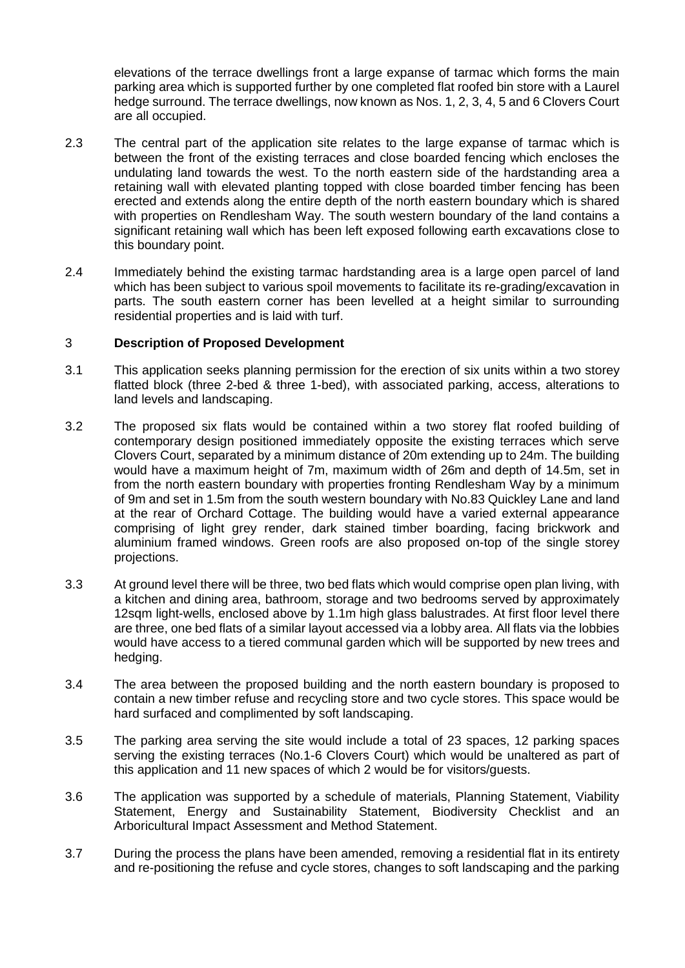elevations of the terrace dwellings front a large expanse of tarmac which forms the main parking area which is supported further by one completed flat roofed bin store with a Laurel hedge surround. The terrace dwellings, now known as Nos. 1, 2, 3, 4, 5 and 6 Clovers Court are all occupied.

- 2.3 The central part of the application site relates to the large expanse of tarmac which is between the front of the existing terraces and close boarded fencing which encloses the undulating land towards the west. To the north eastern side of the hardstanding area a retaining wall with elevated planting topped with close boarded timber fencing has been erected and extends along the entire depth of the north eastern boundary which is shared with properties on Rendlesham Way. The south western boundary of the land contains a significant retaining wall which has been left exposed following earth excavations close to this boundary point.
- 2.4 Immediately behind the existing tarmac hardstanding area is a large open parcel of land which has been subject to various spoil movements to facilitate its re-grading/excavation in parts. The south eastern corner has been levelled at a height similar to surrounding residential properties and is laid with turf.

# 3 **Description of Proposed Development**

- 3.1 This application seeks planning permission for the erection of six units within a two storey flatted block (three 2-bed & three 1-bed), with associated parking, access, alterations to land levels and landscaping.
- 3.2 The proposed six flats would be contained within a two storey flat roofed building of contemporary design positioned immediately opposite the existing terraces which serve Clovers Court, separated by a minimum distance of 20m extending up to 24m. The building would have a maximum height of 7m, maximum width of 26m and depth of 14.5m, set in from the north eastern boundary with properties fronting Rendlesham Way by a minimum of 9m and set in 1.5m from the south western boundary with No.83 Quickley Lane and land at the rear of Orchard Cottage. The building would have a varied external appearance comprising of light grey render, dark stained timber boarding, facing brickwork and aluminium framed windows. Green roofs are also proposed on-top of the single storey projections.
- 3.3 At ground level there will be three, two bed flats which would comprise open plan living, with a kitchen and dining area, bathroom, storage and two bedrooms served by approximately 12sqm light-wells, enclosed above by 1.1m high glass balustrades. At first floor level there are three, one bed flats of a similar layout accessed via a lobby area. All flats via the lobbies would have access to a tiered communal garden which will be supported by new trees and hedging.
- 3.4 The area between the proposed building and the north eastern boundary is proposed to contain a new timber refuse and recycling store and two cycle stores. This space would be hard surfaced and complimented by soft landscaping.
- 3.5 The parking area serving the site would include a total of 23 spaces, 12 parking spaces serving the existing terraces (No.1-6 Clovers Court) which would be unaltered as part of this application and 11 new spaces of which 2 would be for visitors/guests.
- 3.6 The application was supported by a schedule of materials, Planning Statement, Viability Statement, Energy and Sustainability Statement, Biodiversity Checklist and an Arboricultural Impact Assessment and Method Statement.
- 3.7 During the process the plans have been amended, removing a residential flat in its entirety and re-positioning the refuse and cycle stores, changes to soft landscaping and the parking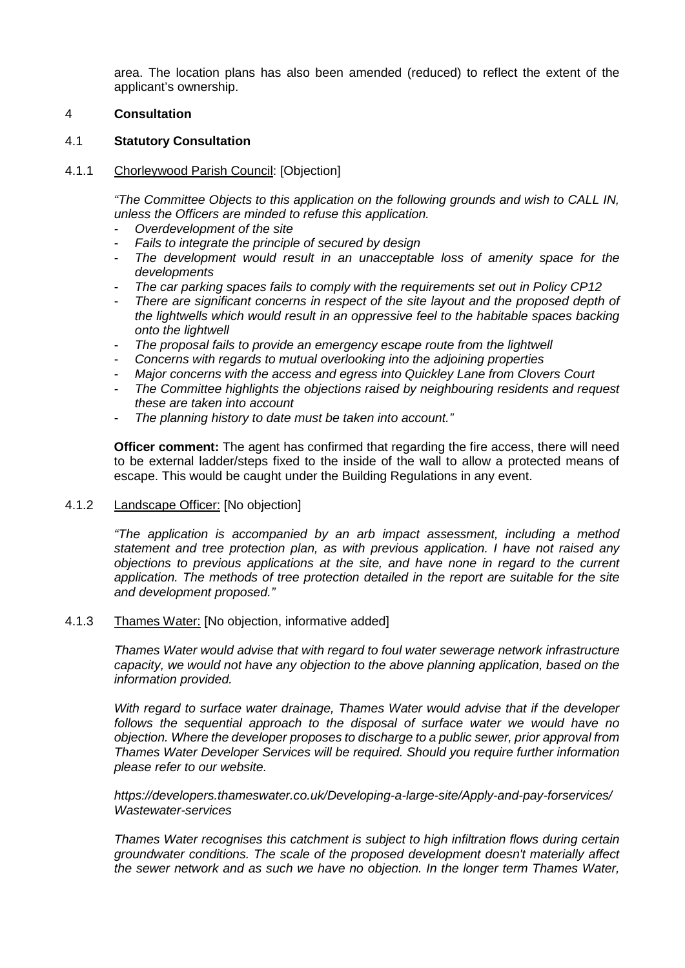area. The location plans has also been amended (reduced) to reflect the extent of the applicant's ownership.

## 4 **Consultation**

## 4.1 **Statutory Consultation**

### 4.1.1 Chorleywood Parish Council: [Objection]

*"The Committee Objects to this application on the following grounds and wish to CALL IN, unless the Officers are minded to refuse this application.*

- *Overdevelopment of the site*
- *Fails to integrate the principle of secured by design*
- *The development would result in an unacceptable loss of amenity space for the developments*
- The car parking spaces fails to comply with the requirements set out in Policy CP12
- *There are significant concerns in respect of the site layout and the proposed depth of the lightwells which would result in an oppressive feel to the habitable spaces backing onto the lightwell*
- *The proposal fails to provide an emergency escape route from the lightwell*
- *Concerns with regards to mutual overlooking into the adjoining properties*
- *Major concerns with the access and egress into Quickley Lane from Clovers Court*
- *The Committee highlights the objections raised by neighbouring residents and request these are taken into account*
- *The planning history to date must be taken into account."*

**Officer comment:** The agent has confirmed that regarding the fire access, there will need to be external ladder/steps fixed to the inside of the wall to allow a protected means of escape. This would be caught under the Building Regulations in any event.

4.1.2 Landscape Officer: [No objection]

*"The application is accompanied by an arb impact assessment, including a method statement and tree protection plan, as with previous application. I have not raised any objections to previous applications at the site, and have none in regard to the current application. The methods of tree protection detailed in the report are suitable for the site and development proposed."*

### 4.1.3 Thames Water: [No objection, informative added]

*Thames Water would advise that with regard to foul water sewerage network infrastructure capacity, we would not have any objection to the above planning application, based on the information provided.*

*With regard to surface water drainage, Thames Water would advise that if the developer follows the sequential approach to the disposal of surface water we would have no objection. Where the developer proposes to discharge to a public sewer, prior approval from Thames Water Developer Services will be required. Should you require further information please refer to our website.*

*https://developers.thameswater.co.uk/Developing-a-large-site/Apply-and-pay-forservices/ Wastewater-services*

*Thames Water recognises this catchment is subject to high infiltration flows during certain groundwater conditions. The scale of the proposed development doesn't materially affect the sewer network and as such we have no objection. In the longer term Thames Water,*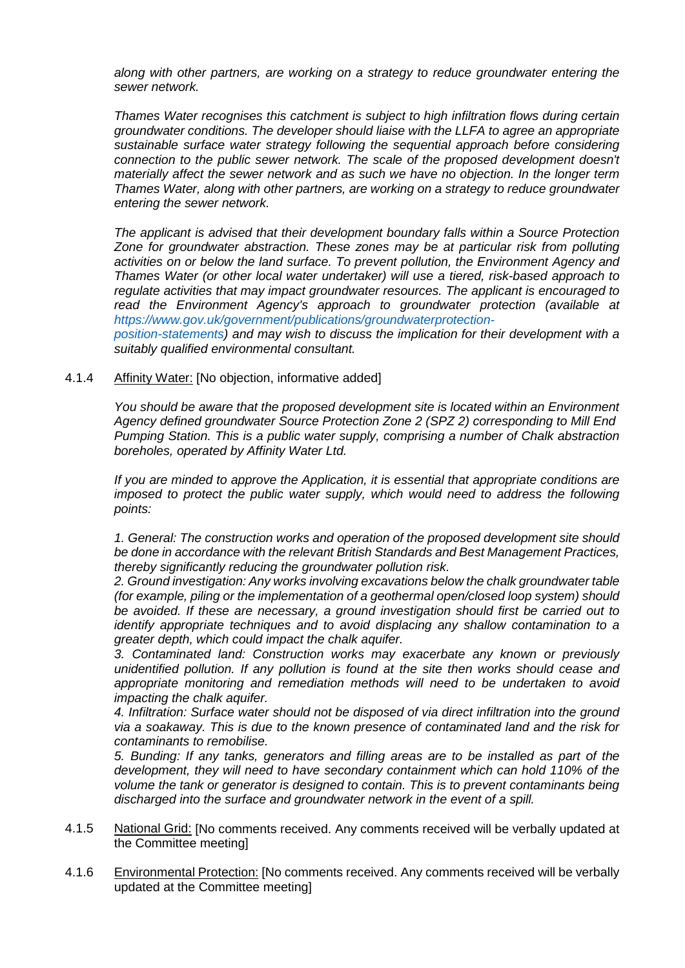*along with other partners, are working on a strategy to reduce groundwater entering the sewer network.*

*Thames Water recognises this catchment is subject to high infiltration flows during certain groundwater conditions. The developer should liaise with the LLFA to agree an appropriate sustainable surface water strategy following the sequential approach before considering connection to the public sewer network. The scale of the proposed development doesn't materially affect the sewer network and as such we have no objection. In the longer term Thames Water, along with other partners, are working on a strategy to reduce groundwater entering the sewer network.*

*The applicant is advised that their development boundary falls within a Source Protection Zone for groundwater abstraction. These zones may be at particular risk from polluting activities on or below the land surface. To prevent pollution, the Environment Agency and Thames Water (or other local water undertaker) will use a tiered, risk-based approach to regulate activities that may impact groundwater resources. The applicant is encouraged to read the Environment Agency's approach to groundwater protection (available at https://www.gov.uk/government/publications/groundwaterprotection-*

*position-statements) and may wish to discuss the implication for their development with a suitably qualified environmental consultant.*

## 4.1.4 Affinity Water: [No objection, informative added]

*You should be aware that the proposed development site is located within an Environment Agency defined groundwater Source Protection Zone 2 (SPZ 2) corresponding to Mill End Pumping Station. This is a public water supply, comprising a number of Chalk abstraction boreholes, operated by Affinity Water Ltd.*

*If you are minded to approve the Application, it is essential that appropriate conditions are imposed to protect the public water supply, which would need to address the following points:*

*1. General: The construction works and operation of the proposed development site should be done in accordance with the relevant British Standards and Best Management Practices, thereby significantly reducing the groundwater pollution risk.*

*2. Ground investigation: Any works involving excavations below the chalk groundwater table (for example, piling or the implementation of a geothermal open/closed loop system) should be avoided. If these are necessary, a ground investigation should first be carried out to identify appropriate techniques and to avoid displacing any shallow contamination to a greater depth, which could impact the chalk aquifer.*

*3. Contaminated land: Construction works may exacerbate any known or previously unidentified pollution. If any pollution is found at the site then works should cease and appropriate monitoring and remediation methods will need to be undertaken to avoid impacting the chalk aquifer.*

*4. Infiltration: Surface water should not be disposed of via direct infiltration into the ground via a soakaway. This is due to the known presence of contaminated land and the risk for contaminants to remobilise.*

*5. Bunding: If any tanks, generators and filling areas are to be installed as part of the development, they will need to have secondary containment which can hold 110% of the volume the tank or generator is designed to contain. This is to prevent contaminants being discharged into the surface and groundwater network in the event of a spill.*

- 4.1.5 National Grid: [No comments received. Any comments received will be verbally updated at the Committee meeting]
- 4.1.6 Environmental Protection: [No comments received. Any comments received will be verbally updated at the Committee meeting]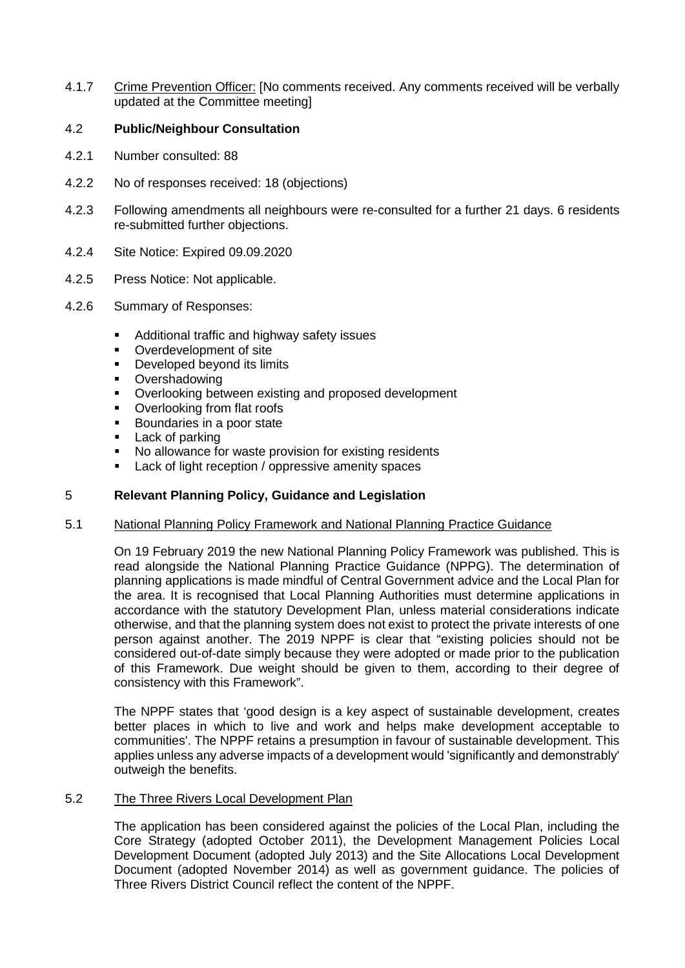4.1.7 Crime Prevention Officer: [No comments received. Any comments received will be verbally updated at the Committee meeting]

# 4.2 **Public/Neighbour Consultation**

- 4.2.1 Number consulted: 88
- 4.2.2 No of responses received: 18 (objections)
- 4.2.3 Following amendments all neighbours were re-consulted for a further 21 days. 6 residents re-submitted further objections.
- 4.2.4 Site Notice: Expired 09.09.2020
- 4.2.5 Press Notice: Not applicable.
- 4.2.6 Summary of Responses:
	- **Additional traffic and highway safety issues**
	- Overdevelopment of site
	- **Developed beyond its limits**
	- **Overshadowing**
	- Overlooking between existing and proposed development
	- Overlooking from flat roofs
	- Boundaries in a poor state
	- Lack of parking
	- No allowance for waste provision for existing residents
	- **Lack of light reception / oppressive amenity spaces**

### 5 **Relevant Planning Policy, Guidance and Legislation**

## 5.1 National Planning Policy Framework and National Planning Practice Guidance

On 19 February 2019 the new National Planning Policy Framework was published. This is read alongside the National Planning Practice Guidance (NPPG). The determination of planning applications is made mindful of Central Government advice and the Local Plan for the area. It is recognised that Local Planning Authorities must determine applications in accordance with the statutory Development Plan, unless material considerations indicate otherwise, and that the planning system does not exist to protect the private interests of one person against another. The 2019 NPPF is clear that "existing policies should not be considered out-of-date simply because they were adopted or made prior to the publication of this Framework. Due weight should be given to them, according to their degree of consistency with this Framework".

The NPPF states that 'good design is a key aspect of sustainable development, creates better places in which to live and work and helps make development acceptable to communities'. The NPPF retains a presumption in favour of sustainable development. This applies unless any adverse impacts of a development would 'significantly and demonstrably' outweigh the benefits.

# 5.2 The Three Rivers Local Development Plan

The application has been considered against the policies of the Local Plan, including the Core Strategy (adopted October 2011), the Development Management Policies Local Development Document (adopted July 2013) and the Site Allocations Local Development Document (adopted November 2014) as well as government guidance. The policies of Three Rivers District Council reflect the content of the NPPF.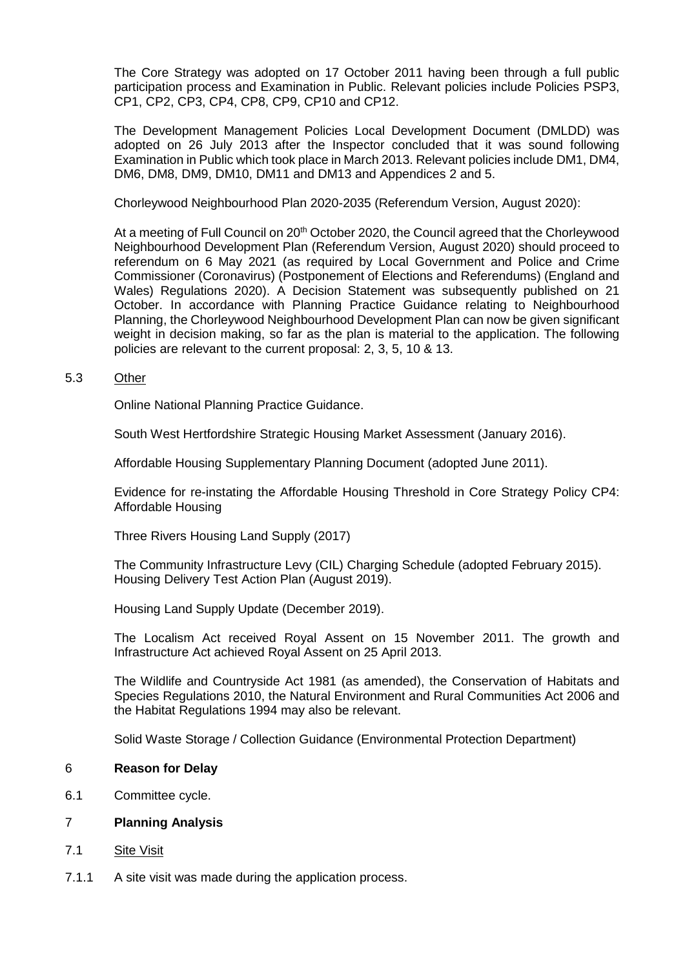The Core Strategy was adopted on 17 October 2011 having been through a full public participation process and Examination in Public. Relevant policies include Policies PSP3, CP1, CP2, CP3, CP4, CP8, CP9, CP10 and CP12.

The Development Management Policies Local Development Document (DMLDD) was adopted on 26 July 2013 after the Inspector concluded that it was sound following Examination in Public which took place in March 2013. Relevant policies include DM1, DM4, DM6, DM8, DM9, DM10, DM11 and DM13 and Appendices 2 and 5.

Chorleywood Neighbourhood Plan 2020-2035 (Referendum Version, August 2020):

At a meeting of Full Council on 20<sup>th</sup> October 2020, the Council agreed that the Chorleywood Neighbourhood Development Plan (Referendum Version, August 2020) should proceed to referendum on 6 May 2021 (as required by Local Government and Police and Crime Commissioner (Coronavirus) (Postponement of Elections and Referendums) (England and Wales) Regulations 2020). A Decision Statement was subsequently published on 21 October. In accordance with Planning Practice Guidance relating to Neighbourhood Planning, the Chorleywood Neighbourhood Development Plan can now be given significant weight in decision making, so far as the plan is material to the application. The following policies are relevant to the current proposal: 2, 3, 5, 10 & 13.

## 5.3 Other

[Online National Planning Practice Guidance.](https://www.gov.uk/government/collections/planning-practice-guidance)

[South West Hertfordshire Strategic Housing Market Assessment \(January 2016\).](https://www.threerivers.gov.uk/egcl-page/shma-and-economic-study-for-future-review-of-local-plan)

[Affordable Housing Supplementary Planning Document \(adopted June 2011\).](https://www.threerivers.gov.uk/egcl-page/development-plan)

[Evidence for re-instating the Affordable Housing Threshold in Core Strategy Policy CP4:](https://www.threerivers.gov.uk/egcl-page/making-an-application)  [Affordable Housing](https://www.threerivers.gov.uk/egcl-page/making-an-application)

[Three Rivers Housing Land Supply \(2017\)](https://www.threerivers.gov.uk/egcl-page/annual-monitoring-report)

[The Community Infrastructure Levy \(CIL\) Charging Schedule \(adopted February 2015\).](https://www.threerivers.gov.uk/egcl-page/community-infrastructure-levy) [Housing Delivery Test Action Plan \(August 2019\).](https://www.threerivers.gov.uk/egcl-page/housing-delivery-test)

[Housing Land Supply Update \(December 2019\).](https://www.threerivers.gov.uk/egcl-page/annual-monitoring-report)

The Localism Act received Royal Assent on 15 November 2011. The growth and Infrastructure Act achieved Royal Assent on 25 April 2013.

The Wildlife and Countryside Act 1981 (as amended), the Conservation of Habitats and Species Regulations 2010, the Natural Environment and Rural Communities Act 2006 and the Habitat Regulations 1994 may also be relevant.

Solid Waste Storage / Collection Guidance (Environmental Protection Department)

### 6 **Reason for Delay**

6.1 Committee cycle.

# 7 **Planning Analysis**

- 7.1 Site Visit
- 7.1.1 A site visit was made during the application process.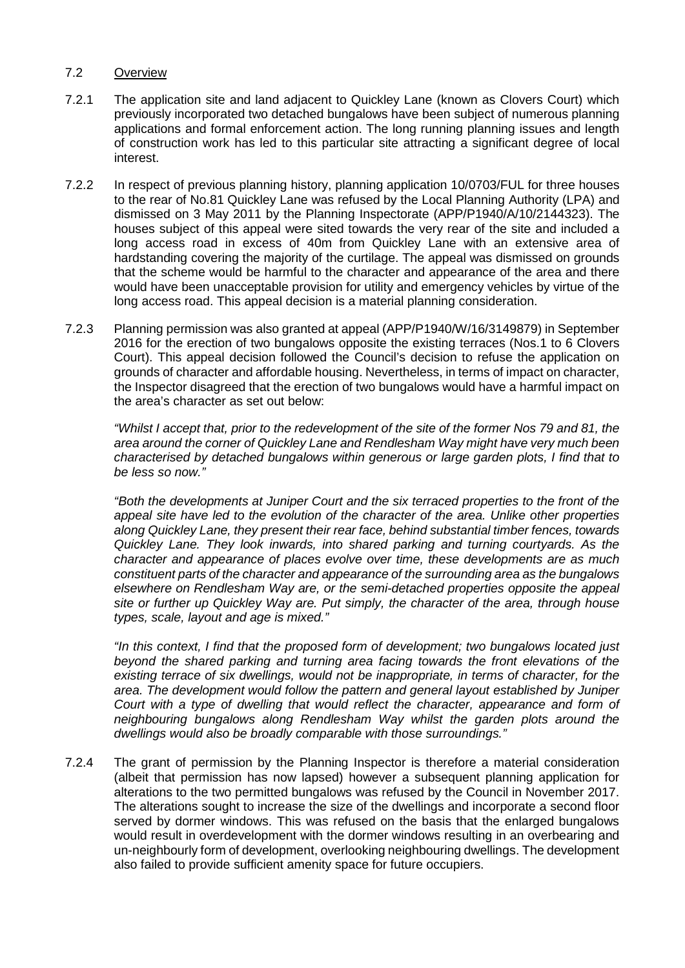# 7.2 Overview

- 7.2.1 The application site and land adjacent to Quickley Lane (known as Clovers Court) which previously incorporated two detached bungalows have been subject of numerous planning applications and formal enforcement action. The long running planning issues and length of construction work has led to this particular site attracting a significant degree of local interest.
- 7.2.2 In respect of previous planning history, planning application 10/0703/FUL for three houses to the rear of No.81 Quickley Lane was refused by the Local Planning Authority (LPA) and dismissed on 3 May 2011 by the Planning Inspectorate (APP/P1940/A/10/2144323). The houses subject of this appeal were sited towards the very rear of the site and included a long access road in excess of 40m from Quickley Lane with an extensive area of hardstanding covering the majority of the curtilage. The appeal was dismissed on grounds that the scheme would be harmful to the character and appearance of the area and there would have been unacceptable provision for utility and emergency vehicles by virtue of the long access road. This appeal decision is a material planning consideration.
- 7.2.3 Planning permission was also granted at appeal (APP/P1940/W/16/3149879) in September 2016 for the erection of two bungalows opposite the existing terraces (Nos.1 to 6 Clovers Court). This appeal decision followed the Council's decision to refuse the application on grounds of character and affordable housing. Nevertheless, in terms of impact on character, the Inspector disagreed that the erection of two bungalows would have a harmful impact on the area's character as set out below:

*"Whilst I accept that, prior to the redevelopment of the site of the former Nos 79 and 81, the area around the corner of Quickley Lane and Rendlesham Way might have very much been characterised by detached bungalows within generous or large garden plots, I find that to be less so now."*

*"Both the developments at Juniper Court and the six terraced properties to the front of the appeal site have led to the evolution of the character of the area. Unlike other properties along Quickley Lane, they present their rear face, behind substantial timber fences, towards Quickley Lane. They look inwards, into shared parking and turning courtyards. As the character and appearance of places evolve over time, these developments are as much constituent parts of the character and appearance of the surrounding area as the bungalows elsewhere on Rendlesham Way are, or the semi-detached properties opposite the appeal site or further up Quickley Way are. Put simply, the character of the area, through house types, scale, layout and age is mixed."*

*"In this context, I find that the proposed form of development; two bungalows located just beyond the shared parking and turning area facing towards the front elevations of the existing terrace of six dwellings, would not be inappropriate, in terms of character, for the area. The development would follow the pattern and general layout established by Juniper Court with a type of dwelling that would reflect the character, appearance and form of neighbouring bungalows along Rendlesham Way whilst the garden plots around the dwellings would also be broadly comparable with those surroundings."*

7.2.4 The grant of permission by the Planning Inspector is therefore a material consideration (albeit that permission has now lapsed) however a subsequent planning application for alterations to the two permitted bungalows was refused by the Council in November 2017. The alterations sought to increase the size of the dwellings and incorporate a second floor served by dormer windows. This was refused on the basis that the enlarged bungalows would result in overdevelopment with the dormer windows resulting in an overbearing and un-neighbourly form of development, overlooking neighbouring dwellings. The development also failed to provide sufficient amenity space for future occupiers.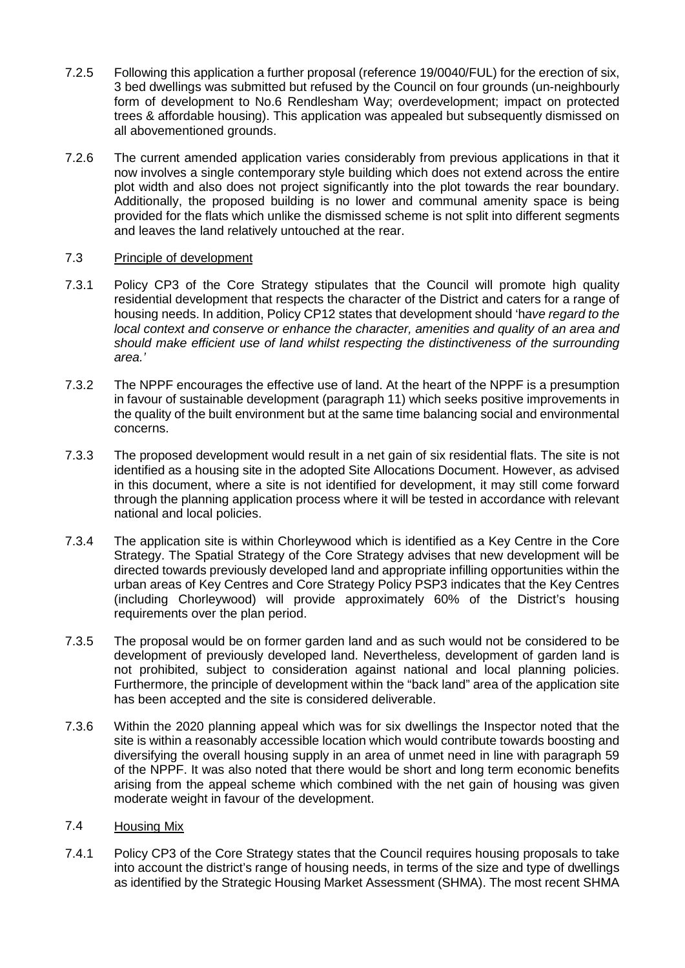- 7.2.5 Following this application a further proposal (reference 19/0040/FUL) for the erection of six, 3 bed dwellings was submitted but refused by the Council on four grounds (un-neighbourly form of development to No.6 Rendlesham Way; overdevelopment; impact on protected trees & affordable housing). This application was appealed but subsequently dismissed on all abovementioned grounds.
- 7.2.6 The current amended application varies considerably from previous applications in that it now involves a single contemporary style building which does not extend across the entire plot width and also does not project significantly into the plot towards the rear boundary. Additionally, the proposed building is no lower and communal amenity space is being provided for the flats which unlike the dismissed scheme is not split into different segments and leaves the land relatively untouched at the rear.

## 7.3 Principle of development

- 7.3.1 Policy CP3 of the Core Strategy stipulates that the Council will promote high quality residential development that respects the character of the District and caters for a range of housing needs. In addition, Policy CP12 states that development should 'h*ave regard to the local context and conserve or enhance the character, amenities and quality of an area and should make efficient use of land whilst respecting the distinctiveness of the surrounding area.'*
- 7.3.2 The NPPF encourages the effective use of land. At the heart of the NPPF is a presumption in favour of sustainable development (paragraph 11) which seeks positive improvements in the quality of the built environment but at the same time balancing social and environmental concerns.
- 7.3.3 The proposed development would result in a net gain of six residential flats. The site is not identified as a housing site in the adopted Site Allocations Document. However, as advised in this document, where a site is not identified for development, it may still come forward through the planning application process where it will be tested in accordance with relevant national and local policies.
- 7.3.4 The application site is within Chorleywood which is identified as a Key Centre in the Core Strategy. The Spatial Strategy of the Core Strategy advises that new development will be directed towards previously developed land and appropriate infilling opportunities within the urban areas of Key Centres and Core Strategy Policy PSP3 indicates that the Key Centres (including Chorleywood) will provide approximately 60% of the District's housing requirements over the plan period.
- 7.3.5 The proposal would be on former garden land and as such would not be considered to be development of previously developed land. Nevertheless, development of garden land is not prohibited, subject to consideration against national and local planning policies. Furthermore, the principle of development within the "back land" area of the application site has been accepted and the site is considered deliverable.
- 7.3.6 Within the 2020 planning appeal which was for six dwellings the Inspector noted that the site is within a reasonably accessible location which would contribute towards boosting and diversifying the overall housing supply in an area of unmet need in line with paragraph 59 of the NPPF. It was also noted that there would be short and long term economic benefits arising from the appeal scheme which combined with the net gain of housing was given moderate weight in favour of the development.

# 7.4 Housing Mix

7.4.1 Policy CP3 of the Core Strategy states that the Council requires housing proposals to take into account the district's range of housing needs, in terms of the size and type of dwellings as identified by the Strategic Housing Market Assessment (SHMA). The most recent SHMA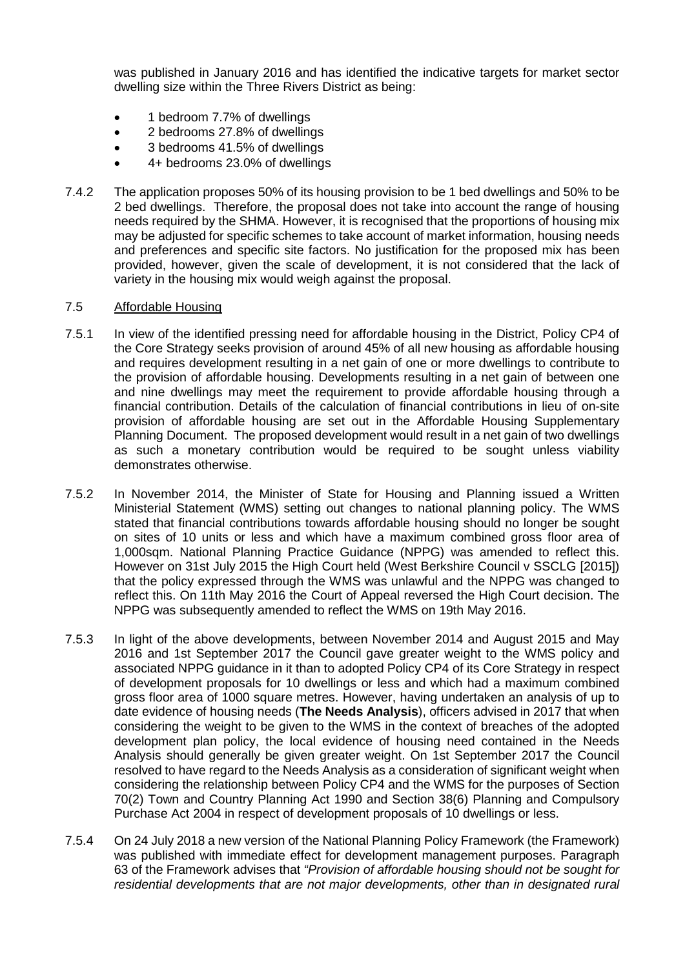was published in January 2016 and has identified the indicative targets for market sector dwelling size within the Three Rivers District as being:

- 1 bedroom 7.7% of dwellings
- 2 bedrooms 27.8% of dwellings
- 3 bedrooms 41.5% of dwellings
- 4+ bedrooms 23.0% of dwellings
- 7.4.2 The application proposes 50% of its housing provision to be 1 bed dwellings and 50% to be 2 bed dwellings. Therefore, the proposal does not take into account the range of housing needs required by the SHMA. However, it is recognised that the proportions of housing mix may be adjusted for specific schemes to take account of market information, housing needs and preferences and specific site factors. No justification for the proposed mix has been provided, however, given the scale of development, it is not considered that the lack of variety in the housing mix would weigh against the proposal.

### 7.5 Affordable Housing

- 7.5.1 In view of the identified pressing need for affordable housing in the District, Policy CP4 of the Core Strategy seeks provision of around 45% of all new housing as affordable housing and requires development resulting in a net gain of one or more dwellings to contribute to the provision of affordable housing. Developments resulting in a net gain of between one and nine dwellings may meet the requirement to provide affordable housing through a financial contribution. Details of the calculation of financial contributions in lieu of on-site provision of affordable housing are set out in the Affordable Housing Supplementary Planning Document. The proposed development would result in a net gain of two dwellings as such a monetary contribution would be required to be sought unless viability demonstrates otherwise.
- 7.5.2 In November 2014, the Minister of State for Housing and Planning issued a Written Ministerial Statement (WMS) setting out changes to national planning policy. The WMS stated that financial contributions towards affordable housing should no longer be sought on sites of 10 units or less and which have a maximum combined gross floor area of 1,000sqm. National Planning Practice Guidance (NPPG) was amended to reflect this. However on 31st July 2015 the High Court held (West Berkshire Council v SSCLG [2015]) that the policy expressed through the WMS was unlawful and the NPPG was changed to reflect this. On 11th May 2016 the Court of Appeal reversed the High Court decision. The NPPG was subsequently amended to reflect the WMS on 19th May 2016.
- 7.5.3 In light of the above developments, between November 2014 and August 2015 and May 2016 and 1st September 2017 the Council gave greater weight to the WMS policy and associated NPPG guidance in it than to adopted Policy CP4 of its Core Strategy in respect of development proposals for 10 dwellings or less and which had a maximum combined gross floor area of 1000 square metres. However, having undertaken an analysis of up to date evidence of housing needs (**The Needs Analysis**), officers advised in 2017 that when considering the weight to be given to the WMS in the context of breaches of the adopted development plan policy, the local evidence of housing need contained in the Needs Analysis should generally be given greater weight. On 1st September 2017 the Council resolved to have regard to the Needs Analysis as a consideration of significant weight when considering the relationship between Policy CP4 and the WMS for the purposes of Section 70(2) Town and Country Planning Act 1990 and Section 38(6) Planning and Compulsory Purchase Act 2004 in respect of development proposals of 10 dwellings or less.
- 7.5.4 On 24 July 2018 a new version of the National Planning Policy Framework (the Framework) was published with immediate effect for development management purposes. Paragraph 63 of the Framework advises that *"Provision of affordable housing should not be sought for residential developments that are not major developments, other than in designated rural*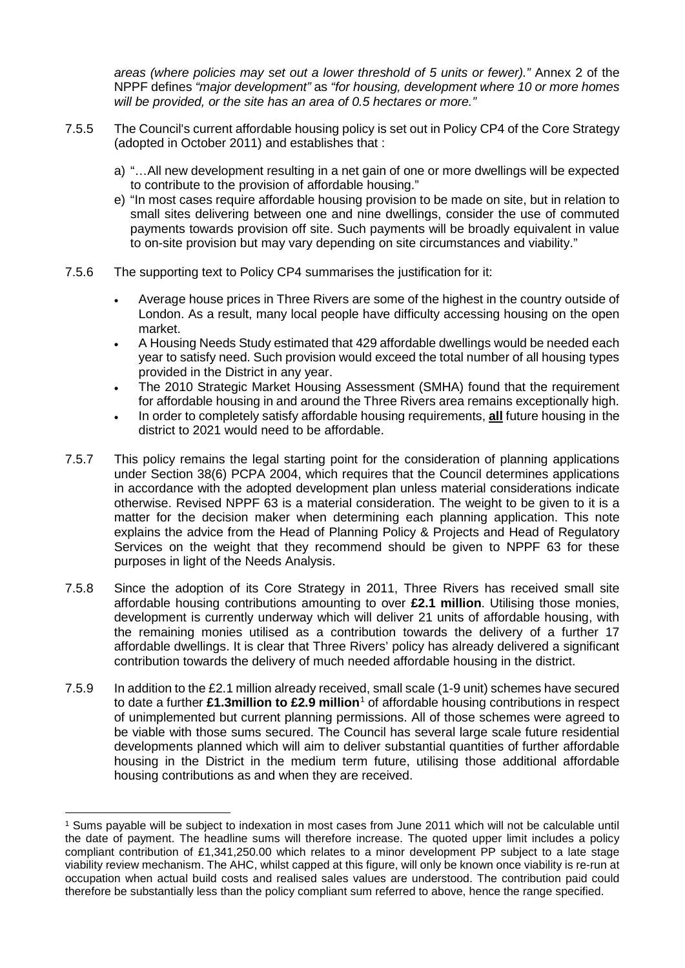*areas (where policies may set out a lower threshold of 5 units or fewer)."* Annex 2 of the NPPF defines *"major development"* as *"for housing, development where 10 or more homes will be provided, or the site has an area of 0.5 hectares or more."* 

- 7.5.5 The Council's current affordable housing policy is set out in Policy CP4 of the Core Strategy (adopted in October 2011) and establishes that :
	- a) "…All new development resulting in a net gain of one or more dwellings will be expected to contribute to the provision of affordable housing."
	- e) "In most cases require affordable housing provision to be made on site, but in relation to small sites delivering between one and nine dwellings, consider the use of commuted payments towards provision off site. Such payments will be broadly equivalent in value to on-site provision but may vary depending on site circumstances and viability."
- 7.5.6 The supporting text to Policy CP4 summarises the justification for it:
	- Average house prices in Three Rivers are some of the highest in the country outside of London. As a result, many local people have difficulty accessing housing on the open market.
	- A Housing Needs Study estimated that 429 affordable dwellings would be needed each year to satisfy need. Such provision would exceed the total number of all housing types provided in the District in any year.
	- The 2010 Strategic Market Housing Assessment (SMHA) found that the requirement for affordable housing in and around the Three Rivers area remains exceptionally high.
	- In order to completely satisfy affordable housing requirements, **all** future housing in the district to 2021 would need to be affordable.
- 7.5.7 This policy remains the legal starting point for the consideration of planning applications under Section 38(6) PCPA 2004, which requires that the Council determines applications in accordance with the adopted development plan unless material considerations indicate otherwise. Revised NPPF 63 is a material consideration. The weight to be given to it is a matter for the decision maker when determining each planning application. This note explains the advice from the Head of Planning Policy & Projects and Head of Regulatory Services on the weight that they recommend should be given to NPPF 63 for these purposes in light of the Needs Analysis.
- 7.5.8 Since the adoption of its Core Strategy in 2011, Three Rivers has received small site affordable housing contributions amounting to over **£2.1 million**. Utilising those monies, development is currently underway which will deliver 21 units of affordable housing, with the remaining monies utilised as a contribution towards the delivery of a further 17 affordable dwellings. It is clear that Three Rivers' policy has already delivered a significant contribution towards the delivery of much needed affordable housing in the district.
- 7.5.9 In addition to the £2.1 million already received, small scale (1-9 unit) schemes have secured to date a further **£1.3million to £2.9 million**[1](#page-13-0) of affordable housing contributions in respect of unimplemented but current planning permissions. All of those schemes were agreed to be viable with those sums secured. The Council has several large scale future residential developments planned which will aim to deliver substantial quantities of further affordable housing in the District in the medium term future, utilising those additional affordable housing contributions as and when they are received.

<span id="page-13-0"></span> <sup>1</sup> Sums payable will be subject to indexation in most cases from June 2011 which will not be calculable until the date of payment. The headline sums will therefore increase. The quoted upper limit includes a policy compliant contribution of £1,341,250.00 which relates to a minor development PP subject to a late stage viability review mechanism. The AHC, whilst capped at this figure, will only be known once viability is re-run at occupation when actual build costs and realised sales values are understood. The contribution paid could therefore be substantially less than the policy compliant sum referred to above, hence the range specified.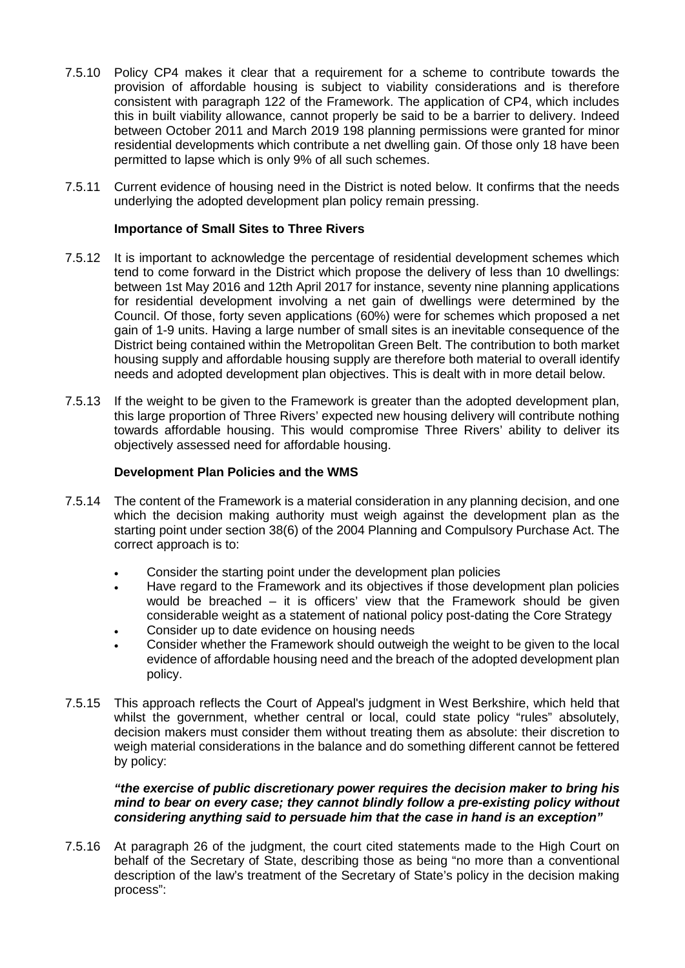- 7.5.10 Policy CP4 makes it clear that a requirement for a scheme to contribute towards the provision of affordable housing is subject to viability considerations and is therefore consistent with paragraph 122 of the Framework. The application of CP4, which includes this in built viability allowance, cannot properly be said to be a barrier to delivery. Indeed between October 2011 and March 2019 198 planning permissions were granted for minor residential developments which contribute a net dwelling gain. Of those only 18 have been permitted to lapse which is only 9% of all such schemes.
- 7.5.11 Current evidence of housing need in the District is noted below. It confirms that the needs underlying the adopted development plan policy remain pressing.

# **Importance of Small Sites to Three Rivers**

- 7.5.12 It is important to acknowledge the percentage of residential development schemes which tend to come forward in the District which propose the delivery of less than 10 dwellings: between 1st May 2016 and 12th April 2017 for instance, seventy nine planning applications for residential development involving a net gain of dwellings were determined by the Council. Of those, forty seven applications (60%) were for schemes which proposed a net gain of 1-9 units. Having a large number of small sites is an inevitable consequence of the District being contained within the Metropolitan Green Belt. The contribution to both market housing supply and affordable housing supply are therefore both material to overall identify needs and adopted development plan objectives. This is dealt with in more detail below.
- 7.5.13 If the weight to be given to the Framework is greater than the adopted development plan, this large proportion of Three Rivers' expected new housing delivery will contribute nothing towards affordable housing. This would compromise Three Rivers' ability to deliver its objectively assessed need for affordable housing.

# **Development Plan Policies and the WMS**

- 7.5.14 The content of the Framework is a material consideration in any planning decision, and one which the decision making authority must weigh against the development plan as the starting point under section 38(6) of the 2004 Planning and Compulsory Purchase Act. The correct approach is to:
	- Consider the starting point under the development plan policies
	- Have regard to the Framework and its objectives if those development plan policies would be breached – it is officers' view that the Framework should be given considerable weight as a statement of national policy post-dating the Core Strategy
	- Consider up to date evidence on housing needs
	- Consider whether the Framework should outweigh the weight to be given to the local evidence of affordable housing need and the breach of the adopted development plan policy.
- 7.5.15 This approach reflects the Court of Appeal's judgment in West Berkshire, which held that whilst the government, whether central or local, could state policy "rules" absolutely, decision makers must consider them without treating them as absolute: their discretion to weigh material considerations in the balance and do something different cannot be fettered by policy:

*"the exercise of public discretionary power requires the decision maker to bring his mind to bear on every case; they cannot blindly follow a pre-existing policy without considering anything said to persuade him that the case in hand is an exception"*

7.5.16 At paragraph 26 of the judgment, the court cited statements made to the High Court on behalf of the Secretary of State, describing those as being "no more than a conventional description of the law's treatment of the Secretary of State's policy in the decision making process":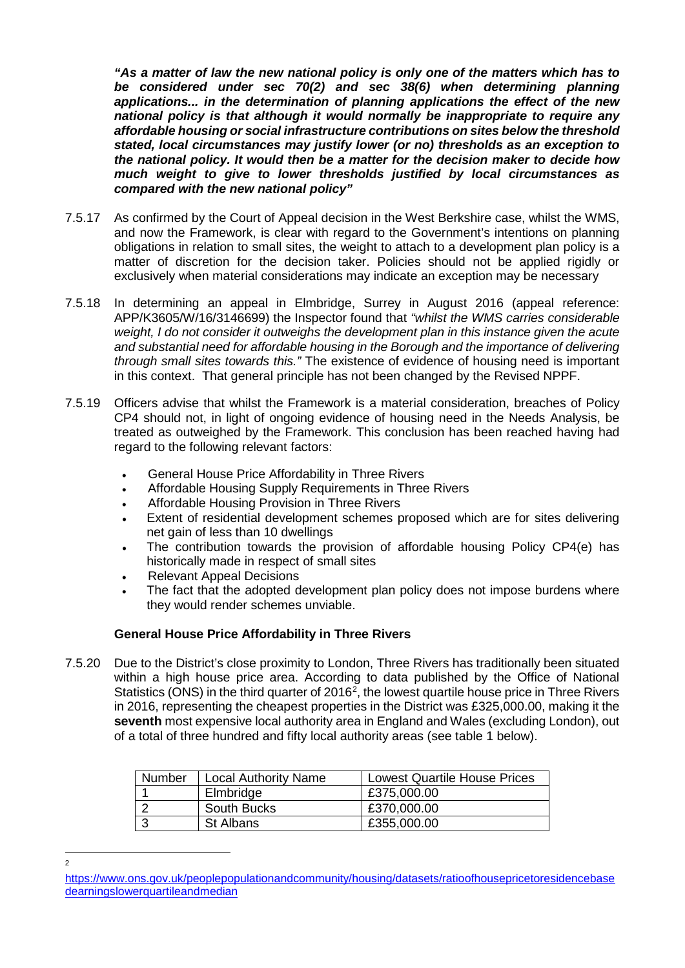*"As a matter of law the new national policy is only one of the matters which has to be considered under sec 70(2) and sec 38(6) when determining planning applications... in the determination of planning applications the effect of the new national policy is that although it would normally be inappropriate to require any affordable housing or social infrastructure contributions on sites below the threshold stated, local circumstances may justify lower (or no) thresholds as an exception to the national policy. It would then be a matter for the decision maker to decide how much weight to give to lower thresholds justified by local circumstances as compared with the new national policy"*

- 7.5.17 As confirmed by the Court of Appeal decision in the West Berkshire case, whilst the WMS, and now the Framework, is clear with regard to the Government's intentions on planning obligations in relation to small sites, the weight to attach to a development plan policy is a matter of discretion for the decision taker. Policies should not be applied rigidly or exclusively when material considerations may indicate an exception may be necessary
- 7.5.18 In determining an appeal in Elmbridge, Surrey in August 2016 (appeal reference: APP/K3605/W/16/3146699) the Inspector found that *"whilst the WMS carries considerable weight, I do not consider it outweighs the development plan in this instance given the acute and substantial need for affordable housing in the Borough and the importance of delivering through small sites towards this."* The existence of evidence of housing need is important in this context. That general principle has not been changed by the Revised NPPF.
- 7.5.19 Officers advise that whilst the Framework is a material consideration, breaches of Policy CP4 should not, in light of ongoing evidence of housing need in the Needs Analysis, be treated as outweighed by the Framework. This conclusion has been reached having had regard to the following relevant factors:
	- General House Price Affordability in Three Rivers
	- Affordable Housing Supply Requirements in Three Rivers
	- Affordable Housing Provision in Three Rivers
	- Extent of residential development schemes proposed which are for sites delivering net gain of less than 10 dwellings
	- The contribution towards the provision of affordable housing Policy CP4(e) has historically made in respect of small sites
	- Relevant Appeal Decisions
	- The fact that the adopted development plan policy does not impose burdens where they would render schemes unviable.

# **General House Price Affordability in Three Rivers**

7.5.20 Due to the District's close proximity to London, Three Rivers has traditionally been situated within a high house price area. According to data published by the Office of National Statistics (ONS) in the third quarter of 2016<sup>2</sup>, the lowest quartile house price in Three Rivers in 2016, representing the cheapest properties in the District was £325,000.00, making it the **seventh** most expensive local authority area in England and Wales (excluding London), out of a total of three hundred and fifty local authority areas (see table 1 below).

| Number | <b>Local Authority Name</b> | <b>Lowest Quartile House Prices</b> |
|--------|-----------------------------|-------------------------------------|
|        | Elmbridge                   | £375,000.00                         |
|        | South Bucks                 | £370,000.00                         |
|        | St Albans                   | £355,000.00                         |

 $\frac{1}{2}$  $\overline{2}$ 

<span id="page-15-0"></span>[https://www.ons.gov.uk/peoplepopulationandcommunity/housing/datasets/ratioofhousepricetoresidencebase](https://www.ons.gov.uk/peoplepopulationandcommunity/housing/datasets/ratioofhousepricetoresidencebasedearningslowerquartileandmedian) [dearningslowerquartileandmedian](https://www.ons.gov.uk/peoplepopulationandcommunity/housing/datasets/ratioofhousepricetoresidencebasedearningslowerquartileandmedian)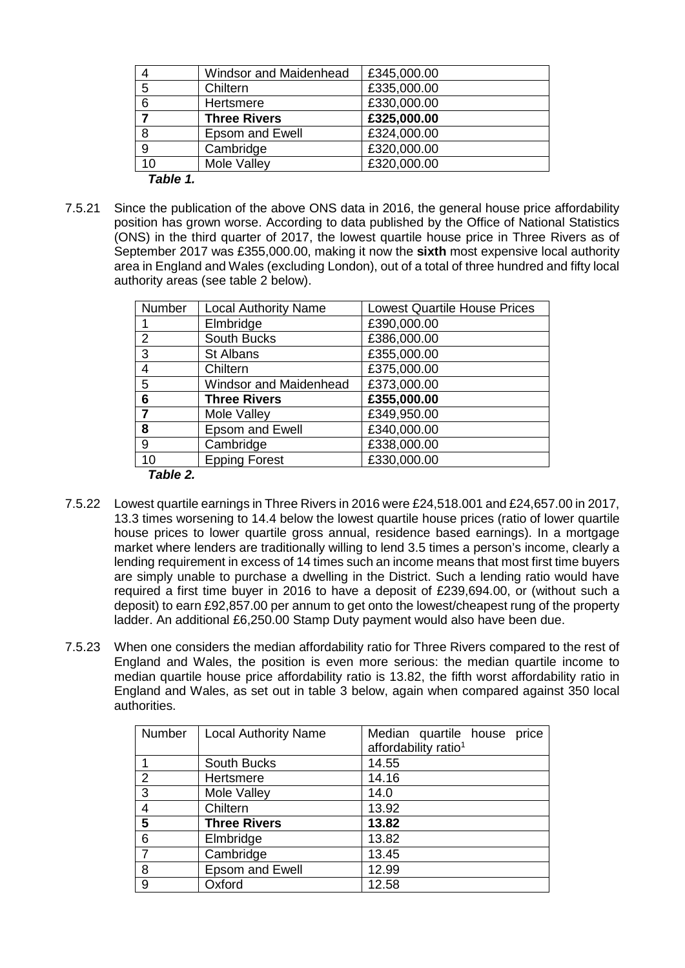|                        | <b>Windsor and Maidenhead</b> | £345,000.00 |
|------------------------|-------------------------------|-------------|
| 5                      | Chiltern                      | £335,000.00 |
| 6                      | Hertsmere                     | £330,000.00 |
|                        | <b>Three Rivers</b>           | £325,000.00 |
| 8                      | Epsom and Ewell               | £324,000.00 |
| 9                      | Cambridge                     | £320,000.00 |
| 10                     | Mole Valley                   | £320,000.00 |
| Table $\overline{1}$ . |                               |             |

7.5.21 Since the publication of the above ONS data in 2016, the general house price affordability position has grown worse. According to data published by the Office of National Statistics (ONS) in the third quarter of 2017, the lowest quartile house price in Three Rivers as of September 2017 was £355,000.00, making it now the **sixth** most expensive local authority area in England and Wales (excluding London), out of a total of three hundred and fifty local authority areas (see table 2 below).

| Number | <b>Local Authority Name</b>   | <b>Lowest Quartile House Prices</b> |
|--------|-------------------------------|-------------------------------------|
|        | Elmbridge                     | £390,000.00                         |
| 2      | South Bucks                   | £386,000.00                         |
| 3      | St Albans                     | £355,000.00                         |
| 4      | Chiltern                      | £375,000.00                         |
| 5      | <b>Windsor and Maidenhead</b> | £373,000.00                         |
| 6      | <b>Three Rivers</b>           | £355,000.00                         |
| 7      | Mole Valley                   | £349,950.00                         |
| 8      | Epsom and Ewell               | £340,000.00                         |
| 9      | Cambridge                     | £338,000.00                         |
| 10     | <b>Epping Forest</b>          | £330,000.00                         |

*Table 2.*

- 7.5.22 Lowest quartile earnings in Three Rivers in 2016 were £24,518.001 and £24,657.00 in 2017, 13.3 times worsening to 14.4 below the lowest quartile house prices (ratio of lower quartile house prices to lower quartile gross annual, residence based earnings). In a mortgage market where lenders are traditionally willing to lend 3.5 times a person's income, clearly a lending requirement in excess of 14 times such an income means that most first time buyers are simply unable to purchase a dwelling in the District. Such a lending ratio would have required a first time buyer in 2016 to have a deposit of £239,694.00, or (without such a deposit) to earn £92,857.00 per annum to get onto the lowest/cheapest rung of the property ladder. An additional £6,250.00 Stamp Duty payment would also have been due.
- 7.5.23 When one considers the median affordability ratio for Three Rivers compared to the rest of England and Wales, the position is even more serious: the median quartile income to median quartile house price affordability ratio is 13.82, the fifth worst affordability ratio in England and Wales, as set out in table 3 below, again when compared against 350 local authorities.

| Number         | <b>Local Authority Name</b> | Median quartile house<br>price<br>affordability ratio <sup>1</sup> |
|----------------|-----------------------------|--------------------------------------------------------------------|
|                |                             |                                                                    |
|                | South Bucks                 | 14.55                                                              |
| 2              | Hertsmere                   | 14.16                                                              |
| 3              | Mole Valley                 | 14.0                                                               |
| $\overline{4}$ | Chiltern                    | 13.92                                                              |
| $5\phantom{1}$ | <b>Three Rivers</b>         | 13.82                                                              |
| 6              | Elmbridge                   | 13.82                                                              |
| $\overline{7}$ | Cambridge                   | 13.45                                                              |
| 8              | <b>Epsom and Ewell</b>      | 12.99                                                              |
| 9              | Oxford                      | 12.58                                                              |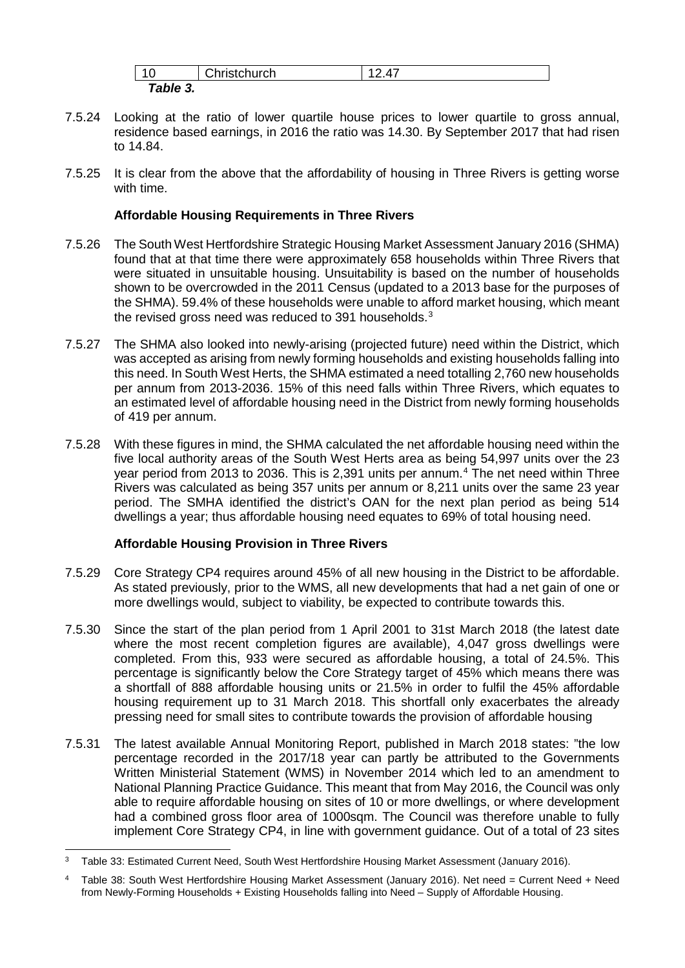| $\overline{A}$                          | $\bigcap$ hrist $\bigcap$ urch |  |
|-----------------------------------------|--------------------------------|--|
| Table<br>$\overline{\phantom{a}}$<br>J. |                                |  |

- 7.5.24 Looking at the ratio of lower quartile house prices to lower quartile to gross annual, residence based earnings, in 2016 the ratio was 14.30. By September 2017 that had risen to 14.84.
- 7.5.25 It is clear from the above that the affordability of housing in Three Rivers is getting worse with time.

# **Affordable Housing Requirements in Three Rivers**

- 7.5.26 The South West Hertfordshire Strategic Housing Market Assessment January 2016 (SHMA) found that at that time there were approximately 658 households within Three Rivers that were situated in unsuitable housing. Unsuitability is based on the number of households shown to be overcrowded in the 2011 Census (updated to a 2013 base for the purposes of the SHMA). 59.4% of these households were unable to afford market housing, which meant the revised gross need was reduced to [3](#page-17-0)91 households.<sup>3</sup>
- 7.5.27 The SHMA also looked into newly-arising (projected future) need within the District, which was accepted as arising from newly forming households and existing households falling into this need. In South West Herts, the SHMA estimated a need totalling 2,760 new households per annum from 2013-2036. 15% of this need falls within Three Rivers, which equates to an estimated level of affordable housing need in the District from newly forming households of 419 per annum.
- 7.5.28 With these figures in mind, the SHMA calculated the net affordable housing need within the five local authority areas of the South West Herts area as being 54,997 units over the 23 year period from 2013 to 2036. This is 2,391 units per annum.[4](#page-17-1) The net need within Three Rivers was calculated as being 357 units per annum or 8,211 units over the same 23 year period. The SMHA identified the district's OAN for the next plan period as being 514 dwellings a year; thus affordable housing need equates to 69% of total housing need.

# **Affordable Housing Provision in Three Rivers**

- 7.5.29 Core Strategy CP4 requires around 45% of all new housing in the District to be affordable. As stated previously, prior to the WMS, all new developments that had a net gain of one or more dwellings would, subject to viability, be expected to contribute towards this.
- 7.5.30 Since the start of the plan period from 1 April 2001 to 31st March 2018 (the latest date where the most recent completion figures are available), 4,047 gross dwellings were completed. From this, 933 were secured as affordable housing, a total of 24.5%. This percentage is significantly below the Core Strategy target of 45% which means there was a shortfall of 888 affordable housing units or 21.5% in order to fulfil the 45% affordable housing requirement up to 31 March 2018. This shortfall only exacerbates the already pressing need for small sites to contribute towards the provision of affordable housing
- 7.5.31 The latest available Annual Monitoring Report, published in March 2018 states: "the low percentage recorded in the 2017/18 year can partly be attributed to the Governments Written Ministerial Statement (WMS) in November 2014 which led to an amendment to National Planning Practice Guidance. This meant that from May 2016, the Council was only able to require affordable housing on sites of 10 or more dwellings, or where development had a combined gross floor area of 1000sqm. The Council was therefore unable to fully implement Core Strategy CP4, in line with government guidance. Out of a total of 23 sites

<span id="page-17-0"></span> <sup>3</sup> Table 33: Estimated Current Need, South West Hertfordshire Housing Market Assessment (January 2016).

<span id="page-17-1"></span><sup>4</sup> Table 38: South West Hertfordshire Housing Market Assessment (January 2016). Net need = Current Need + Need from Newly-Forming Households + Existing Households falling into Need – Supply of Affordable Housing.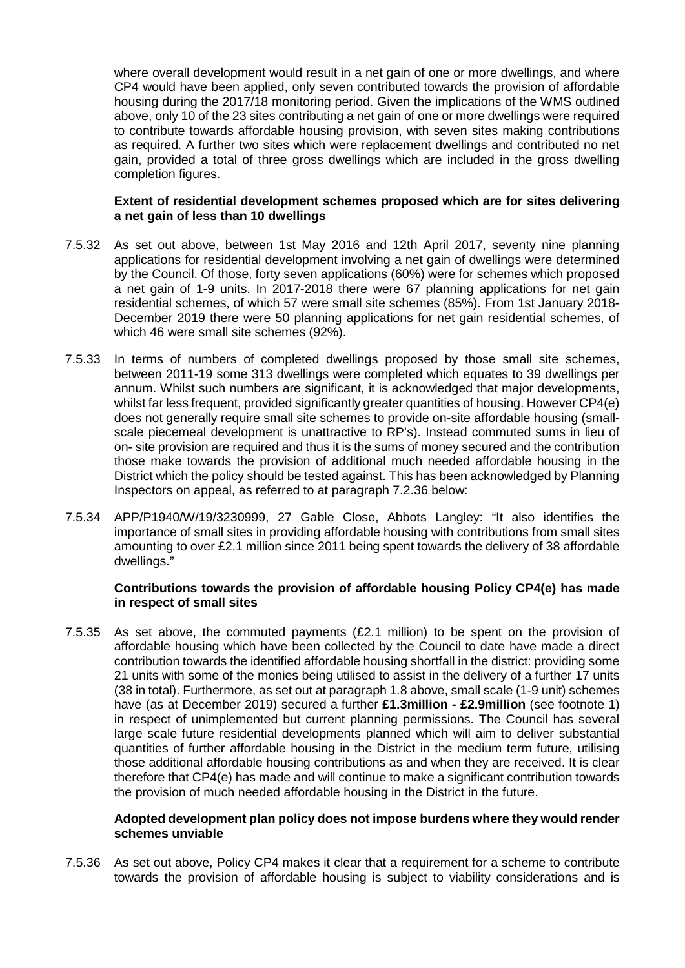where overall development would result in a net gain of one or more dwellings, and where CP4 would have been applied, only seven contributed towards the provision of affordable housing during the 2017/18 monitoring period. Given the implications of the WMS outlined above, only 10 of the 23 sites contributing a net gain of one or more dwellings were required to contribute towards affordable housing provision, with seven sites making contributions as required. A further two sites which were replacement dwellings and contributed no net gain, provided a total of three gross dwellings which are included in the gross dwelling completion figures.

## **Extent of residential development schemes proposed which are for sites delivering a net gain of less than 10 dwellings**

- 7.5.32 As set out above, between 1st May 2016 and 12th April 2017, seventy nine planning applications for residential development involving a net gain of dwellings were determined by the Council. Of those, forty seven applications (60%) were for schemes which proposed a net gain of 1-9 units. In 2017-2018 there were 67 planning applications for net gain residential schemes, of which 57 were small site schemes (85%). From 1st January 2018- December 2019 there were 50 planning applications for net gain residential schemes, of which 46 were small site schemes (92%).
- 7.5.33 In terms of numbers of completed dwellings proposed by those small site schemes, between 2011-19 some 313 dwellings were completed which equates to 39 dwellings per annum. Whilst such numbers are significant, it is acknowledged that major developments, whilst far less frequent, provided significantly greater quantities of housing. However CP4(e) does not generally require small site schemes to provide on-site affordable housing (smallscale piecemeal development is unattractive to RP's). Instead commuted sums in lieu of on- site provision are required and thus it is the sums of money secured and the contribution those make towards the provision of additional much needed affordable housing in the District which the policy should be tested against. This has been acknowledged by Planning Inspectors on appeal, as referred to at paragraph 7.2.36 below:
- 7.5.34 APP/P1940/W/19/3230999, 27 Gable Close, Abbots Langley: "It also identifies the importance of small sites in providing affordable housing with contributions from small sites amounting to over £2.1 million since 2011 being spent towards the delivery of 38 affordable dwellings."

## **Contributions towards the provision of affordable housing Policy CP4(e) has made in respect of small sites**

7.5.35 As set above, the commuted payments (£2.1 million) to be spent on the provision of affordable housing which have been collected by the Council to date have made a direct contribution towards the identified affordable housing shortfall in the district: providing some 21 units with some of the monies being utilised to assist in the delivery of a further 17 units (38 in total). Furthermore, as set out at paragraph 1.8 above, small scale (1-9 unit) schemes have (as at December 2019) secured a further **£1.3million - £2.9million** (see footnote 1) in respect of unimplemented but current planning permissions. The Council has several large scale future residential developments planned which will aim to deliver substantial quantities of further affordable housing in the District in the medium term future, utilising those additional affordable housing contributions as and when they are received. It is clear therefore that CP4(e) has made and will continue to make a significant contribution towards the provision of much needed affordable housing in the District in the future.

### **Adopted development plan policy does not impose burdens where they would render schemes unviable**

7.5.36 As set out above, Policy CP4 makes it clear that a requirement for a scheme to contribute towards the provision of affordable housing is subject to viability considerations and is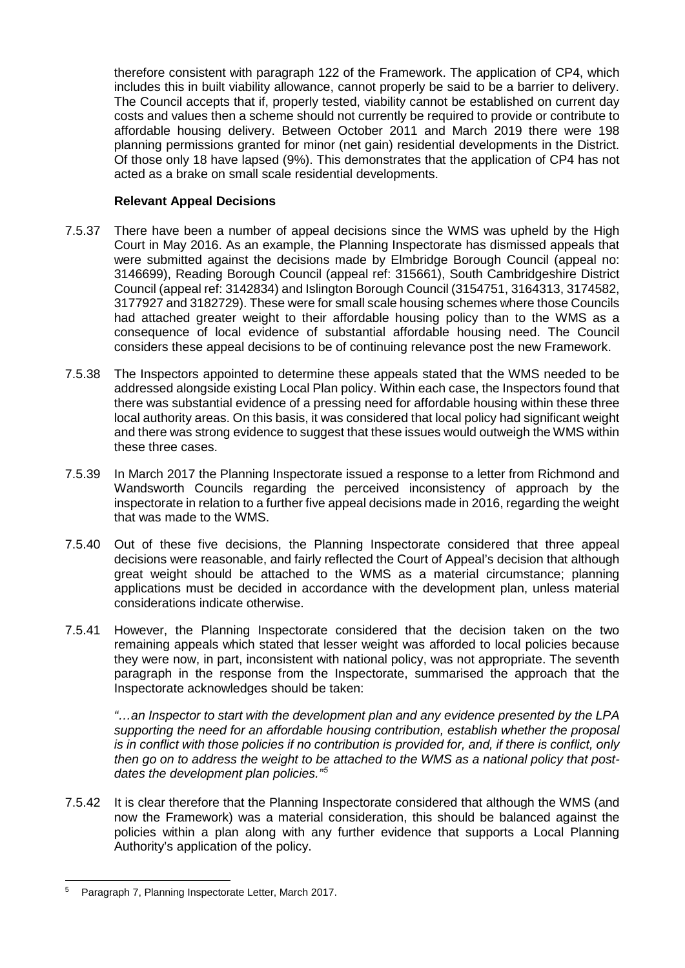therefore consistent with paragraph 122 of the Framework. The application of CP4, which includes this in built viability allowance, cannot properly be said to be a barrier to delivery. The Council accepts that if, properly tested, viability cannot be established on current day costs and values then a scheme should not currently be required to provide or contribute to affordable housing delivery. Between October 2011 and March 2019 there were 198 planning permissions granted for minor (net gain) residential developments in the District. Of those only 18 have lapsed (9%). This demonstrates that the application of CP4 has not acted as a brake on small scale residential developments.

## **Relevant Appeal Decisions**

- 7.5.37 There have been a number of appeal decisions since the WMS was upheld by the High Court in May 2016. As an example, the Planning Inspectorate has dismissed appeals that were submitted against the decisions made by Elmbridge Borough Council (appeal no: 3146699), Reading Borough Council (appeal ref: 315661), South Cambridgeshire District Council (appeal ref: 3142834) and Islington Borough Council (3154751, 3164313, 3174582, 3177927 and 3182729). These were for small scale housing schemes where those Councils had attached greater weight to their affordable housing policy than to the WMS as a consequence of local evidence of substantial affordable housing need. The Council considers these appeal decisions to be of continuing relevance post the new Framework.
- 7.5.38 The Inspectors appointed to determine these appeals stated that the WMS needed to be addressed alongside existing Local Plan policy. Within each case, the Inspectors found that there was substantial evidence of a pressing need for affordable housing within these three local authority areas. On this basis, it was considered that local policy had significant weight and there was strong evidence to suggest that these issues would outweigh the WMS within these three cases.
- 7.5.39 In March 2017 the Planning Inspectorate issued a response to a letter from Richmond and Wandsworth Councils regarding the perceived inconsistency of approach by the inspectorate in relation to a further five appeal decisions made in 2016, regarding the weight that was made to the WMS.
- 7.5.40 Out of these five decisions, the Planning Inspectorate considered that three appeal decisions were reasonable, and fairly reflected the Court of Appeal's decision that although great weight should be attached to the WMS as a material circumstance; planning applications must be decided in accordance with the development plan, unless material considerations indicate otherwise.
- 7.5.41 However, the Planning Inspectorate considered that the decision taken on the two remaining appeals which stated that lesser weight was afforded to local policies because they were now, in part, inconsistent with national policy, was not appropriate. The seventh paragraph in the response from the Inspectorate, summarised the approach that the Inspectorate acknowledges should be taken:

*"…an Inspector to start with the development plan and any evidence presented by the LPA supporting the need for an affordable housing contribution, establish whether the proposal is in conflict with those policies if no contribution is provided for, and, if there is conflict, only then go on to address the weight to be attached to the WMS as a national policy that postdates the development plan policies."[5](#page-19-0)*

7.5.42 It is clear therefore that the Planning Inspectorate considered that although the WMS (and now the Framework) was a material consideration, this should be balanced against the policies within a plan along with any further evidence that supports a Local Planning Authority's application of the policy.

<span id="page-19-0"></span> <sup>5</sup> Paragraph 7, Planning Inspectorate Letter, March 2017.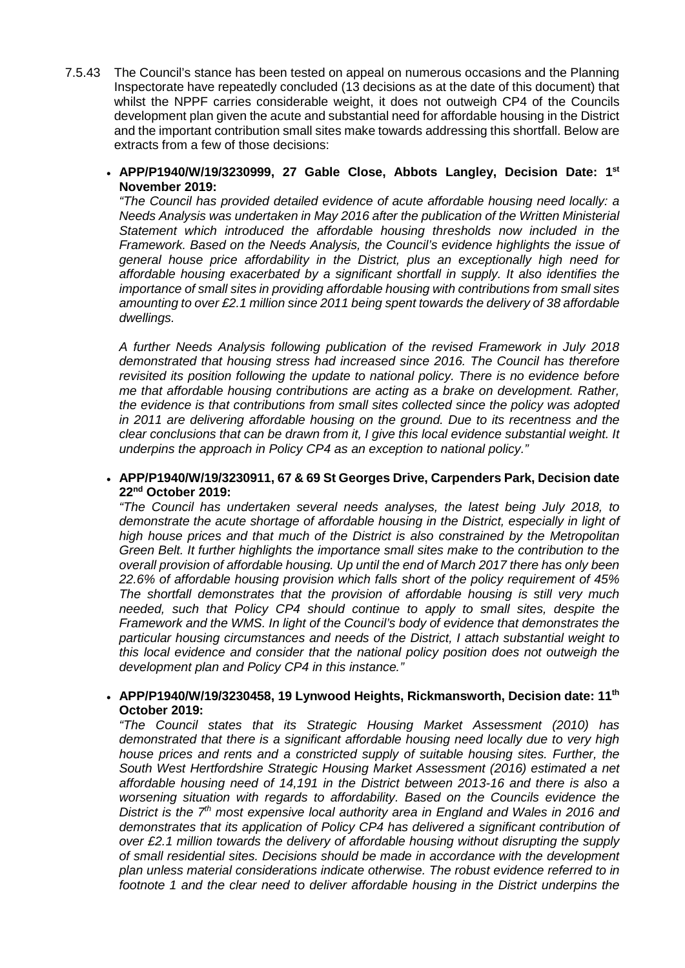- 7.5.43 The Council's stance has been tested on appeal on numerous occasions and the Planning Inspectorate have repeatedly concluded (13 decisions as at the date of this document) that whilst the NPPF carries considerable weight, it does not outweigh CP4 of the Councils development plan given the acute and substantial need for affordable housing in the District and the important contribution small sites make towards addressing this shortfall. Below are extracts from a few of those decisions:
	- **APP/P1940/W/19/3230999, 27 Gable Close, Abbots Langley, Decision Date: 1st November 2019:**

*"The Council has provided detailed evidence of acute affordable housing need locally: a Needs Analysis was undertaken in May 2016 after the publication of the Written Ministerial Statement which introduced the affordable housing thresholds now included in the Framework. Based on the Needs Analysis, the Council's evidence highlights the issue of general house price affordability in the District, plus an exceptionally high need for affordable housing exacerbated by a significant shortfall in supply. It also identifies the importance of small sites in providing affordable housing with contributions from small sites amounting to over £2.1 million since 2011 being spent towards the delivery of 38 affordable dwellings.*

*A further Needs Analysis following publication of the revised Framework in July 2018 demonstrated that housing stress had increased since 2016. The Council has therefore revisited its position following the update to national policy. There is no evidence before me that affordable housing contributions are acting as a brake on development. Rather, the evidence is that contributions from small sites collected since the policy was adopted in 2011 are delivering affordable housing on the ground. Due to its recentness and the clear conclusions that can be drawn from it, I give this local evidence substantial weight. It underpins the approach in Policy CP4 as an exception to national policy."*

• **APP/P1940/W/19/3230911, 67 & 69 St Georges Drive, Carpenders Park, Decision date 22nd October 2019:**

*"The Council has undertaken several needs analyses, the latest being July 2018, to demonstrate the acute shortage of affordable housing in the District, especially in light of high house prices and that much of the District is also constrained by the Metropolitan Green Belt. It further highlights the importance small sites make to the contribution to the overall provision of affordable housing. Up until the end of March 2017 there has only been 22.6% of affordable housing provision which falls short of the policy requirement of 45% The shortfall demonstrates that the provision of affordable housing is still very much needed, such that Policy CP4 should continue to apply to small sites, despite the Framework and the WMS. In light of the Council's body of evidence that demonstrates the particular housing circumstances and needs of the District, I attach substantial weight to this local evidence and consider that the national policy position does not outweigh the development plan and Policy CP4 in this instance."*

## • **APP/P1940/W/19/3230458, 19 Lynwood Heights, Rickmansworth, Decision date: 11th October 2019:**

*"The Council states that its Strategic Housing Market Assessment (2010) has demonstrated that there is a significant affordable housing need locally due to very high house prices and rents and a constricted supply of suitable housing sites. Further, the South West Hertfordshire Strategic Housing Market Assessment (2016) estimated a net affordable housing need of 14,191 in the District between 2013-16 and there is also a worsening situation with regards to affordability. Based on the Councils evidence the District is the 7th most expensive local authority area in England and Wales in 2016 and demonstrates that its application of Policy CP4 has delivered a significant contribution of over £2.1 million towards the delivery of affordable housing without disrupting the supply of small residential sites. Decisions should be made in accordance with the development plan unless material considerations indicate otherwise. The robust evidence referred to in footnote 1 and the clear need to deliver affordable housing in the District underpins the*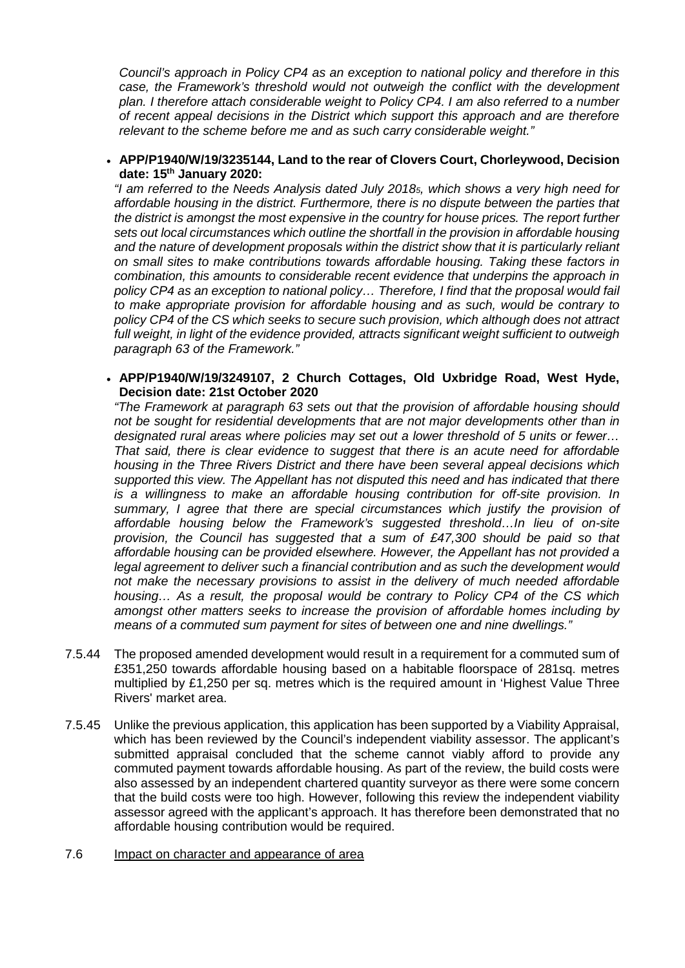*Council's approach in Policy CP4 as an exception to national policy and therefore in this case, the Framework's threshold would not outweigh the conflict with the development plan. I therefore attach considerable weight to Policy CP4. I am also referred to a number of recent appeal decisions in the District which support this approach and are therefore relevant to the scheme before me and as such carry considerable weight."*

• **APP/P1940/W/19/3235144, Land to the rear of Clovers Court, Chorleywood, Decision date: 15th January 2020:**

*"I am referred to the Needs Analysis dated July 20185, which shows a very high need for affordable housing in the district. Furthermore, there is no dispute between the parties that the district is amongst the most expensive in the country for house prices. The report further sets out local circumstances which outline the shortfall in the provision in affordable housing and the nature of development proposals within the district show that it is particularly reliant on small sites to make contributions towards affordable housing. Taking these factors in combination, this amounts to considerable recent evidence that underpins the approach in policy CP4 as an exception to national policy… Therefore, I find that the proposal would fail to make appropriate provision for affordable housing and as such, would be contrary to policy CP4 of the CS which seeks to secure such provision, which although does not attract full weight, in light of the evidence provided, attracts significant weight sufficient to outweigh paragraph 63 of the Framework."*

• **APP/P1940/W/19/3249107, 2 Church Cottages, Old Uxbridge Road, West Hyde, Decision date: 21st October 2020**

*"The Framework at paragraph 63 sets out that the provision of affordable housing should not be sought for residential developments that are not major developments other than in designated rural areas where policies may set out a lower threshold of 5 units or fewer… That said, there is clear evidence to suggest that there is an acute need for affordable housing in the Three Rivers District and there have been several appeal decisions which supported this view. The Appellant has not disputed this need and has indicated that there is a willingness to make an affordable housing contribution for off-site provision. In summary, I agree that there are special circumstances which justify the provision of affordable housing below the Framework's suggested threshold…In lieu of on-site provision, the Council has suggested that a sum of £47,300 should be paid so that affordable housing can be provided elsewhere. However, the Appellant has not provided a legal agreement to deliver such a financial contribution and as such the development would not make the necessary provisions to assist in the delivery of much needed affordable housing… As a result, the proposal would be contrary to Policy CP4 of the CS which amongst other matters seeks to increase the provision of affordable homes including by means of a commuted sum payment for sites of between one and nine dwellings."*

- 7.5.44 The proposed amended development would result in a requirement for a commuted sum of £351,250 towards affordable housing based on a habitable floorspace of 281sq. metres multiplied by £1,250 per sq. metres which is the required amount in 'Highest Value Three Rivers' market area.
- 7.5.45 Unlike the previous application, this application has been supported by a Viability Appraisal, which has been reviewed by the Council's independent viability assessor. The applicant's submitted appraisal concluded that the scheme cannot viably afford to provide any commuted payment towards affordable housing. As part of the review, the build costs were also assessed by an independent chartered quantity surveyor as there were some concern that the build costs were too high. However, following this review the independent viability assessor agreed with the applicant's approach. It has therefore been demonstrated that no affordable housing contribution would be required.
- 7.6 Impact on character and appearance of area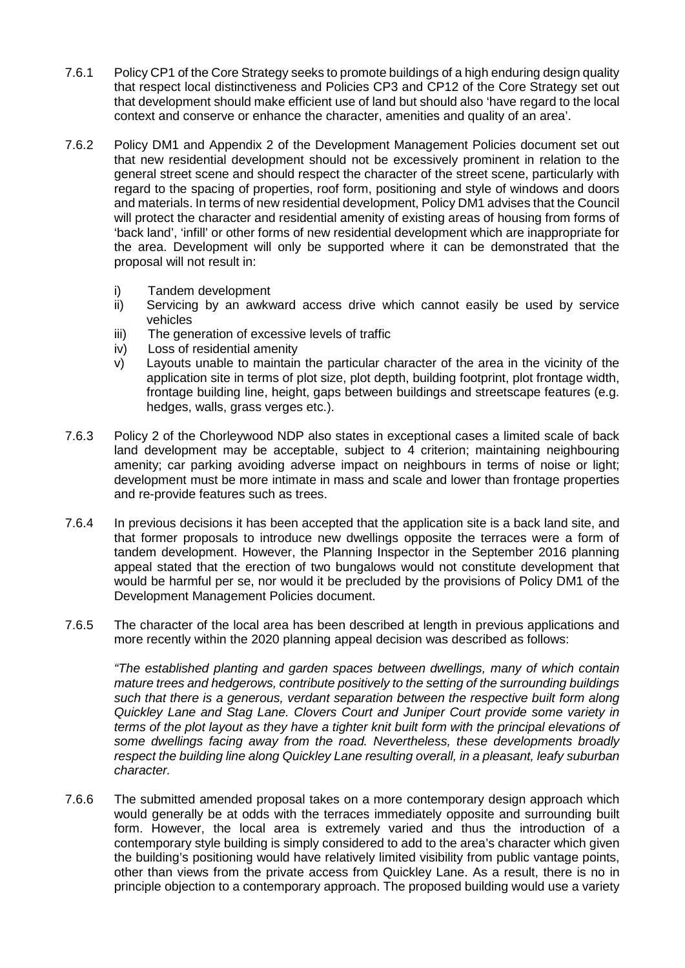- 7.6.1 Policy CP1 of the Core Strategy seeks to promote buildings of a high enduring design quality that respect local distinctiveness and Policies CP3 and CP12 of the Core Strategy set out that development should make efficient use of land but should also 'have regard to the local context and conserve or enhance the character, amenities and quality of an area'.
- 7.6.2 Policy DM1 and Appendix 2 of the Development Management Policies document set out that new residential development should not be excessively prominent in relation to the general street scene and should respect the character of the street scene, particularly with regard to the spacing of properties, roof form, positioning and style of windows and doors and materials. In terms of new residential development, Policy DM1 advises that the Council will protect the character and residential amenity of existing areas of housing from forms of 'back land', 'infill' or other forms of new residential development which are inappropriate for the area. Development will only be supported where it can be demonstrated that the proposal will not result in:
	- i) Tandem development
	- ii) Servicing by an awkward access drive which cannot easily be used by service vehicles
	- iii) The generation of excessive levels of traffic
	- iv) Loss of residential amenity
	- v) Layouts unable to maintain the particular character of the area in the vicinity of the application site in terms of plot size, plot depth, building footprint, plot frontage width, frontage building line, height, gaps between buildings and streetscape features (e.g. hedges, walls, grass verges etc.).
- 7.6.3 Policy 2 of the Chorleywood NDP also states in exceptional cases a limited scale of back land development may be acceptable, subject to 4 criterion; maintaining neighbouring amenity; car parking avoiding adverse impact on neighbours in terms of noise or light; development must be more intimate in mass and scale and lower than frontage properties and re-provide features such as trees.
- 7.6.4 In previous decisions it has been accepted that the application site is a back land site, and that former proposals to introduce new dwellings opposite the terraces were a form of tandem development. However, the Planning Inspector in the September 2016 planning appeal stated that the erection of two bungalows would not constitute development that would be harmful per se, nor would it be precluded by the provisions of Policy DM1 of the Development Management Policies document.
- 7.6.5 The character of the local area has been described at length in previous applications and more recently within the 2020 planning appeal decision was described as follows:

*"The established planting and garden spaces between dwellings, many of which contain mature trees and hedgerows, contribute positively to the setting of the surrounding buildings such that there is a generous, verdant separation between the respective built form along Quickley Lane and Stag Lane. Clovers Court and Juniper Court provide some variety in terms of the plot layout as they have a tighter knit built form with the principal elevations of some dwellings facing away from the road. Nevertheless, these developments broadly respect the building line along Quickley Lane resulting overall, in a pleasant, leafy suburban character.*

7.6.6 The submitted amended proposal takes on a more contemporary design approach which would generally be at odds with the terraces immediately opposite and surrounding built form. However, the local area is extremely varied and thus the introduction of a contemporary style building is simply considered to add to the area's character which given the building's positioning would have relatively limited visibility from public vantage points, other than views from the private access from Quickley Lane. As a result, there is no in principle objection to a contemporary approach. The proposed building would use a variety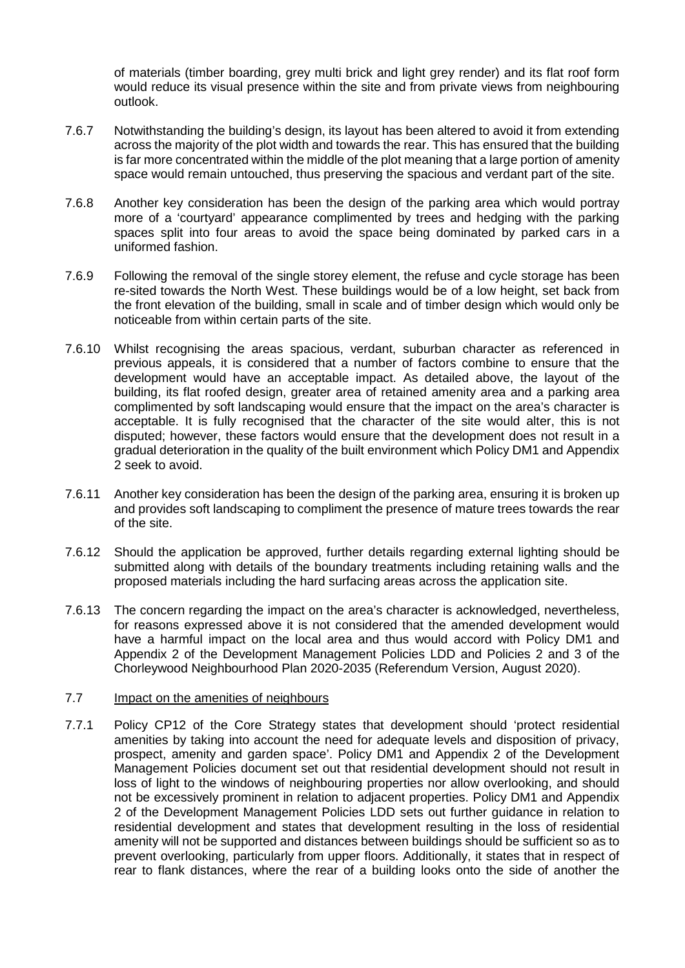of materials (timber boarding, grey multi brick and light grey render) and its flat roof form would reduce its visual presence within the site and from private views from neighbouring outlook.

- 7.6.7 Notwithstanding the building's design, its layout has been altered to avoid it from extending across the majority of the plot width and towards the rear. This has ensured that the building is far more concentrated within the middle of the plot meaning that a large portion of amenity space would remain untouched, thus preserving the spacious and verdant part of the site.
- 7.6.8 Another key consideration has been the design of the parking area which would portray more of a 'courtyard' appearance complimented by trees and hedging with the parking spaces split into four areas to avoid the space being dominated by parked cars in a uniformed fashion.
- 7.6.9 Following the removal of the single storey element, the refuse and cycle storage has been re-sited towards the North West. These buildings would be of a low height, set back from the front elevation of the building, small in scale and of timber design which would only be noticeable from within certain parts of the site.
- 7.6.10 Whilst recognising the areas spacious, verdant, suburban character as referenced in previous appeals, it is considered that a number of factors combine to ensure that the development would have an acceptable impact. As detailed above, the layout of the building, its flat roofed design, greater area of retained amenity area and a parking area complimented by soft landscaping would ensure that the impact on the area's character is acceptable. It is fully recognised that the character of the site would alter, this is not disputed; however, these factors would ensure that the development does not result in a gradual deterioration in the quality of the built environment which Policy DM1 and Appendix 2 seek to avoid.
- 7.6.11 Another key consideration has been the design of the parking area, ensuring it is broken up and provides soft landscaping to compliment the presence of mature trees towards the rear of the site.
- 7.6.12 Should the application be approved, further details regarding external lighting should be submitted along with details of the boundary treatments including retaining walls and the proposed materials including the hard surfacing areas across the application site.
- 7.6.13 The concern regarding the impact on the area's character is acknowledged, nevertheless, for reasons expressed above it is not considered that the amended development would have a harmful impact on the local area and thus would accord with Policy DM1 and Appendix 2 of the Development Management Policies LDD and Policies 2 and 3 of the Chorleywood Neighbourhood Plan 2020-2035 (Referendum Version, August 2020).

### 7.7 Impact on the amenities of neighbours

7.7.1 Policy CP12 of the Core Strategy states that development should 'protect residential amenities by taking into account the need for adequate levels and disposition of privacy, prospect, amenity and garden space'. Policy DM1 and Appendix 2 of the Development Management Policies document set out that residential development should not result in loss of light to the windows of neighbouring properties nor allow overlooking, and should not be excessively prominent in relation to adjacent properties. Policy DM1 and Appendix 2 of the Development Management Policies LDD sets out further guidance in relation to residential development and states that development resulting in the loss of residential amenity will not be supported and distances between buildings should be sufficient so as to prevent overlooking, particularly from upper floors. Additionally, it states that in respect of rear to flank distances, where the rear of a building looks onto the side of another the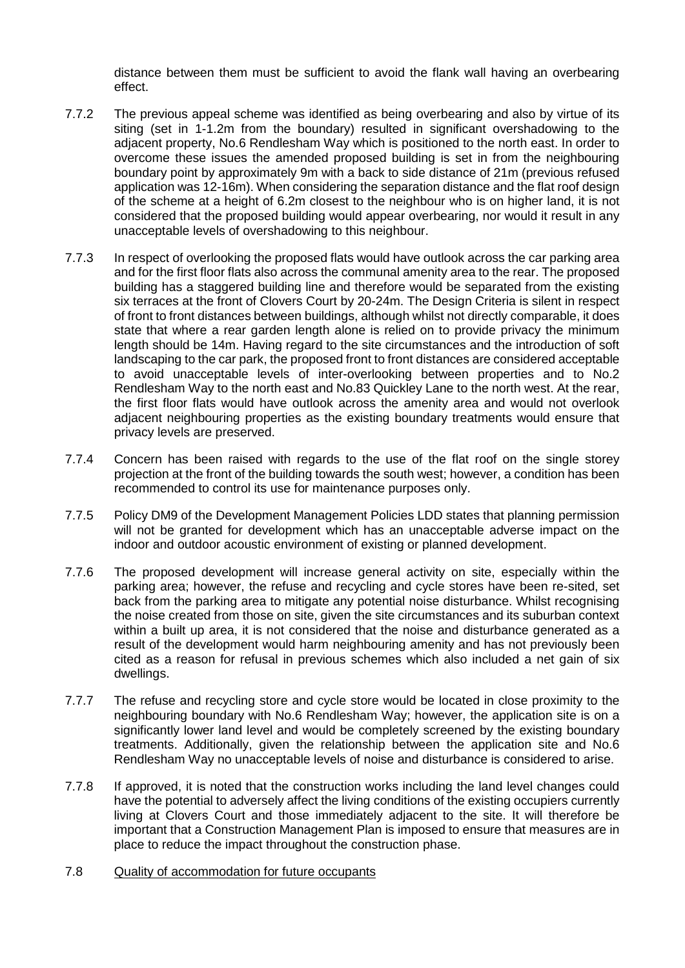distance between them must be sufficient to avoid the flank wall having an overbearing effect.

- 7.7.2 The previous appeal scheme was identified as being overbearing and also by virtue of its siting (set in 1-1.2m from the boundary) resulted in significant overshadowing to the adjacent property, No.6 Rendlesham Way which is positioned to the north east. In order to overcome these issues the amended proposed building is set in from the neighbouring boundary point by approximately 9m with a back to side distance of 21m (previous refused application was 12-16m). When considering the separation distance and the flat roof design of the scheme at a height of 6.2m closest to the neighbour who is on higher land, it is not considered that the proposed building would appear overbearing, nor would it result in any unacceptable levels of overshadowing to this neighbour.
- 7.7.3 In respect of overlooking the proposed flats would have outlook across the car parking area and for the first floor flats also across the communal amenity area to the rear. The proposed building has a staggered building line and therefore would be separated from the existing six terraces at the front of Clovers Court by 20-24m. The Design Criteria is silent in respect of front to front distances between buildings, although whilst not directly comparable, it does state that where a rear garden length alone is relied on to provide privacy the minimum length should be 14m. Having regard to the site circumstances and the introduction of soft landscaping to the car park, the proposed front to front distances are considered acceptable to avoid unacceptable levels of inter-overlooking between properties and to No.2 Rendlesham Way to the north east and No.83 Quickley Lane to the north west. At the rear, the first floor flats would have outlook across the amenity area and would not overlook adjacent neighbouring properties as the existing boundary treatments would ensure that privacy levels are preserved.
- 7.7.4 Concern has been raised with regards to the use of the flat roof on the single storey projection at the front of the building towards the south west; however, a condition has been recommended to control its use for maintenance purposes only.
- 7.7.5 Policy DM9 of the Development Management Policies LDD states that planning permission will not be granted for development which has an unacceptable adverse impact on the indoor and outdoor acoustic environment of existing or planned development.
- 7.7.6 The proposed development will increase general activity on site, especially within the parking area; however, the refuse and recycling and cycle stores have been re-sited, set back from the parking area to mitigate any potential noise disturbance. Whilst recognising the noise created from those on site, given the site circumstances and its suburban context within a built up area, it is not considered that the noise and disturbance generated as a result of the development would harm neighbouring amenity and has not previously been cited as a reason for refusal in previous schemes which also included a net gain of six dwellings.
- 7.7.7 The refuse and recycling store and cycle store would be located in close proximity to the neighbouring boundary with No.6 Rendlesham Way; however, the application site is on a significantly lower land level and would be completely screened by the existing boundary treatments. Additionally, given the relationship between the application site and No.6 Rendlesham Way no unacceptable levels of noise and disturbance is considered to arise.
- 7.7.8 If approved, it is noted that the construction works including the land level changes could have the potential to adversely affect the living conditions of the existing occupiers currently living at Clovers Court and those immediately adjacent to the site. It will therefore be important that a Construction Management Plan is imposed to ensure that measures are in place to reduce the impact throughout the construction phase.
- 7.8 Quality of accommodation for future occupants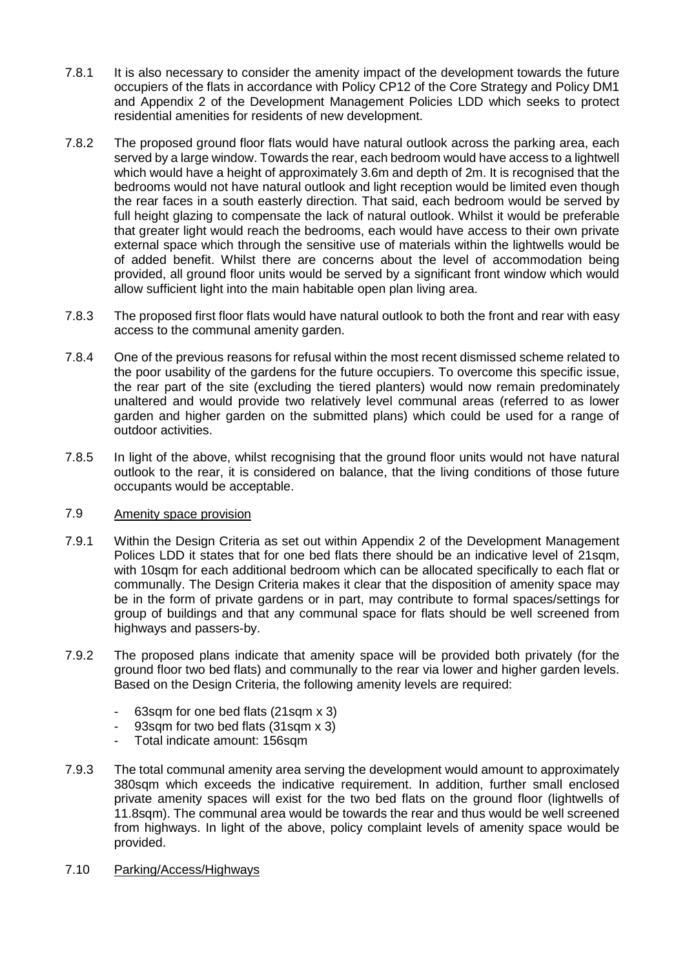- 7.8.1 It is also necessary to consider the amenity impact of the development towards the future occupiers of the flats in accordance with Policy CP12 of the Core Strategy and Policy DM1 and Appendix 2 of the Development Management Policies LDD which seeks to protect residential amenities for residents of new development.
- 7.8.2 The proposed ground floor flats would have natural outlook across the parking area, each served by a large window. Towards the rear, each bedroom would have access to a lightwell which would have a height of approximately 3.6m and depth of 2m. It is recognised that the bedrooms would not have natural outlook and light reception would be limited even though the rear faces in a south easterly direction. That said, each bedroom would be served by full height glazing to compensate the lack of natural outlook. Whilst it would be preferable that greater light would reach the bedrooms, each would have access to their own private external space which through the sensitive use of materials within the lightwells would be of added benefit. Whilst there are concerns about the level of accommodation being provided, all ground floor units would be served by a significant front window which would allow sufficient light into the main habitable open plan living area.
- 7.8.3 The proposed first floor flats would have natural outlook to both the front and rear with easy access to the communal amenity garden.
- 7.8.4 One of the previous reasons for refusal within the most recent dismissed scheme related to the poor usability of the gardens for the future occupiers. To overcome this specific issue, the rear part of the site (excluding the tiered planters) would now remain predominately unaltered and would provide two relatively level communal areas (referred to as lower garden and higher garden on the submitted plans) which could be used for a range of outdoor activities.
- 7.8.5 In light of the above, whilst recognising that the ground floor units would not have natural outlook to the rear, it is considered on balance, that the living conditions of those future occupants would be acceptable.

# 7.9 Amenity space provision

- 7.9.1 Within the Design Criteria as set out within Appendix 2 of the Development Management Polices LDD it states that for one bed flats there should be an indicative level of 21sqm, with 10sqm for each additional bedroom which can be allocated specifically to each flat or communally. The Design Criteria makes it clear that the disposition of amenity space may be in the form of private gardens or in part, may contribute to formal spaces/settings for group of buildings and that any communal space for flats should be well screened from highways and passers-by.
- 7.9.2 The proposed plans indicate that amenity space will be provided both privately (for the ground floor two bed flats) and communally to the rear via lower and higher garden levels. Based on the Design Criteria, the following amenity levels are required:
	- 63sqm for one bed flats (21sqm x 3)
	- 93sqm for two bed flats (31sqm x 3)
	- Total indicate amount: 156sqm
- 7.9.3 The total communal amenity area serving the development would amount to approximately 380sqm which exceeds the indicative requirement. In addition, further small enclosed private amenity spaces will exist for the two bed flats on the ground floor (lightwells of 11.8sqm). The communal area would be towards the rear and thus would be well screened from highways. In light of the above, policy complaint levels of amenity space would be provided.
- 7.10 Parking/Access/Highways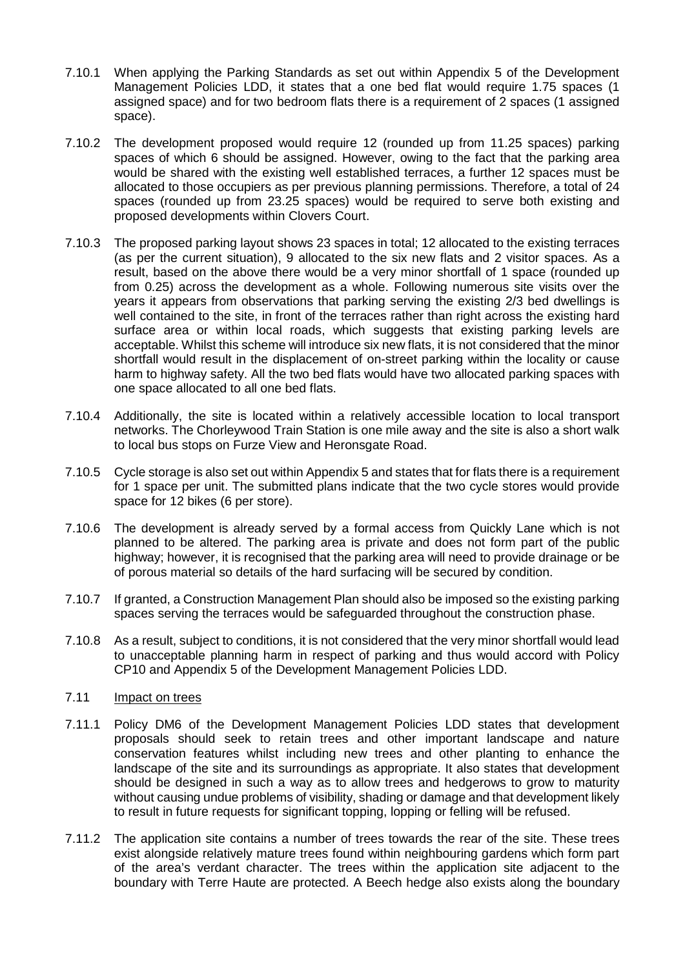- 7.10.1 When applying the Parking Standards as set out within Appendix 5 of the Development Management Policies LDD, it states that a one bed flat would require 1.75 spaces (1 assigned space) and for two bedroom flats there is a requirement of 2 spaces (1 assigned space).
- 7.10.2 The development proposed would require 12 (rounded up from 11.25 spaces) parking spaces of which 6 should be assigned. However, owing to the fact that the parking area would be shared with the existing well established terraces, a further 12 spaces must be allocated to those occupiers as per previous planning permissions. Therefore, a total of 24 spaces (rounded up from 23.25 spaces) would be required to serve both existing and proposed developments within Clovers Court.
- 7.10.3 The proposed parking layout shows 23 spaces in total; 12 allocated to the existing terraces (as per the current situation), 9 allocated to the six new flats and 2 visitor spaces. As a result, based on the above there would be a very minor shortfall of 1 space (rounded up from 0.25) across the development as a whole. Following numerous site visits over the years it appears from observations that parking serving the existing 2/3 bed dwellings is well contained to the site, in front of the terraces rather than right across the existing hard surface area or within local roads, which suggests that existing parking levels are acceptable. Whilst this scheme will introduce six new flats, it is not considered that the minor shortfall would result in the displacement of on-street parking within the locality or cause harm to highway safety. All the two bed flats would have two allocated parking spaces with one space allocated to all one bed flats.
- 7.10.4 Additionally, the site is located within a relatively accessible location to local transport networks. The Chorleywood Train Station is one mile away and the site is also a short walk to local bus stops on Furze View and Heronsgate Road.
- 7.10.5 Cycle storage is also set out within Appendix 5 and states that for flats there is a requirement for 1 space per unit. The submitted plans indicate that the two cycle stores would provide space for 12 bikes (6 per store).
- 7.10.6 The development is already served by a formal access from Quickly Lane which is not planned to be altered. The parking area is private and does not form part of the public highway; however, it is recognised that the parking area will need to provide drainage or be of porous material so details of the hard surfacing will be secured by condition.
- 7.10.7 If granted, a Construction Management Plan should also be imposed so the existing parking spaces serving the terraces would be safeguarded throughout the construction phase.
- 7.10.8 As a result, subject to conditions, it is not considered that the very minor shortfall would lead to unacceptable planning harm in respect of parking and thus would accord with Policy CP10 and Appendix 5 of the Development Management Policies LDD.

### 7.11 Impact on trees

- 7.11.1 Policy DM6 of the Development Management Policies LDD states that development proposals should seek to retain trees and other important landscape and nature conservation features whilst including new trees and other planting to enhance the landscape of the site and its surroundings as appropriate. It also states that development should be designed in such a way as to allow trees and hedgerows to grow to maturity without causing undue problems of visibility, shading or damage and that development likely to result in future requests for significant topping, lopping or felling will be refused.
- 7.11.2 The application site contains a number of trees towards the rear of the site. These trees exist alongside relatively mature trees found within neighbouring gardens which form part of the area's verdant character. The trees within the application site adjacent to the boundary with Terre Haute are protected. A Beech hedge also exists along the boundary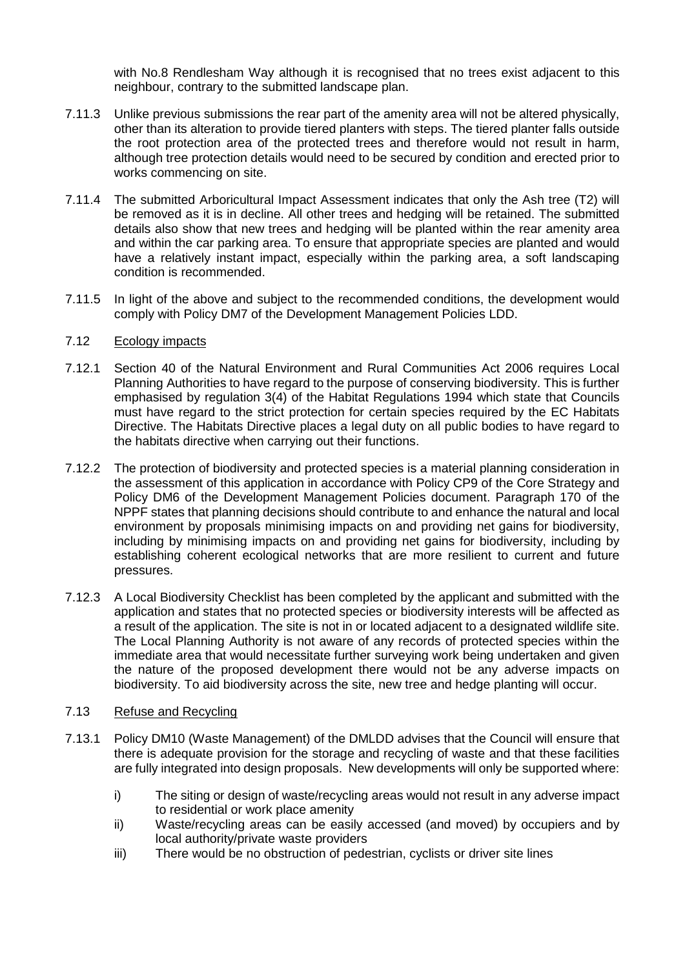with No.8 Rendlesham Way although it is recognised that no trees exist adjacent to this neighbour, contrary to the submitted landscape plan.

- 7.11.3 Unlike previous submissions the rear part of the amenity area will not be altered physically, other than its alteration to provide tiered planters with steps. The tiered planter falls outside the root protection area of the protected trees and therefore would not result in harm, although tree protection details would need to be secured by condition and erected prior to works commencing on site.
- 7.11.4 The submitted Arboricultural Impact Assessment indicates that only the Ash tree (T2) will be removed as it is in decline. All other trees and hedging will be retained. The submitted details also show that new trees and hedging will be planted within the rear amenity area and within the car parking area. To ensure that appropriate species are planted and would have a relatively instant impact, especially within the parking area, a soft landscaping condition is recommended.
- 7.11.5 In light of the above and subject to the recommended conditions, the development would comply with Policy DM7 of the Development Management Policies LDD.

## 7.12 Ecology impacts

- 7.12.1 Section 40 of the Natural Environment and Rural Communities Act 2006 requires Local Planning Authorities to have regard to the purpose of conserving biodiversity. This is further emphasised by regulation 3(4) of the Habitat Regulations 1994 which state that Councils must have regard to the strict protection for certain species required by the EC Habitats Directive. The Habitats Directive places a legal duty on all public bodies to have regard to the habitats directive when carrying out their functions.
- 7.12.2 The protection of biodiversity and protected species is a material planning consideration in the assessment of this application in accordance with Policy CP9 of the Core Strategy and Policy DM6 of the Development Management Policies document. Paragraph 170 of the NPPF states that planning decisions should contribute to and enhance the natural and local environment by proposals minimising impacts on and providing net gains for biodiversity, including by minimising impacts on and providing net gains for biodiversity, including by establishing coherent ecological networks that are more resilient to current and future pressures.
- 7.12.3 A Local Biodiversity Checklist has been completed by the applicant and submitted with the application and states that no protected species or biodiversity interests will be affected as a result of the application. The site is not in or located adjacent to a designated wildlife site. The Local Planning Authority is not aware of any records of protected species within the immediate area that would necessitate further surveying work being undertaken and given the nature of the proposed development there would not be any adverse impacts on biodiversity. To aid biodiversity across the site, new tree and hedge planting will occur.

# 7.13 Refuse and Recycling

- 7.13.1 Policy DM10 (Waste Management) of the DMLDD advises that the Council will ensure that there is adequate provision for the storage and recycling of waste and that these facilities are fully integrated into design proposals. New developments will only be supported where:
	- i) The siting or design of waste/recycling areas would not result in any adverse impact to residential or work place amenity
	- ii) Waste/recycling areas can be easily accessed (and moved) by occupiers and by local authority/private waste providers
	- iii) There would be no obstruction of pedestrian, cyclists or driver site lines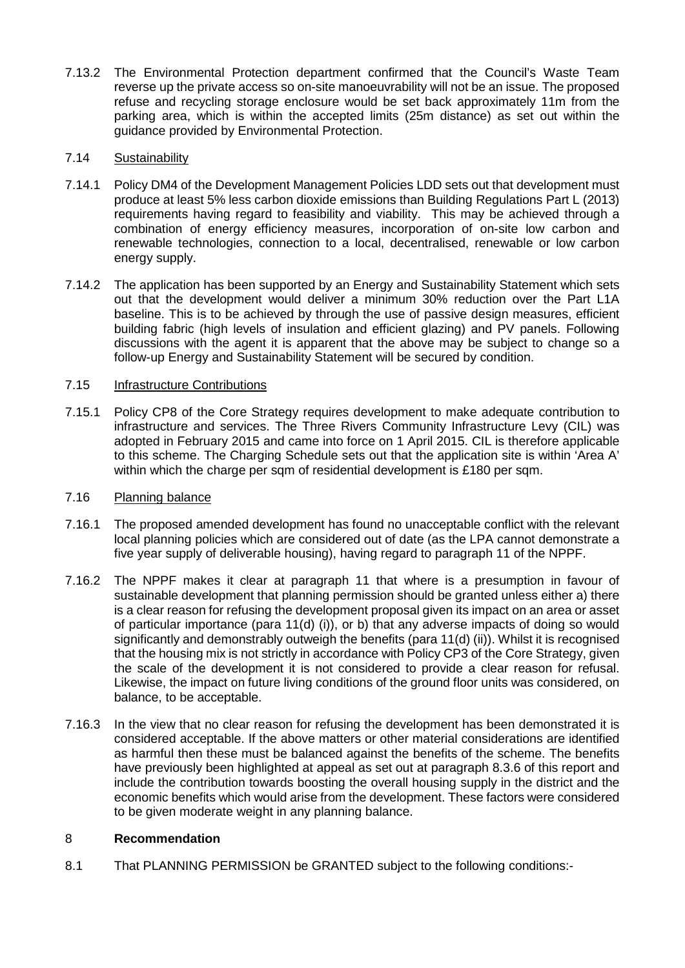7.13.2 The Environmental Protection department confirmed that the Council's Waste Team reverse up the private access so on-site manoeuvrability will not be an issue. The proposed refuse and recycling storage enclosure would be set back approximately 11m from the parking area, which is within the accepted limits (25m distance) as set out within the guidance provided by Environmental Protection.

# 7.14 Sustainability

- 7.14.1 Policy DM4 of the Development Management Policies LDD sets out that development must produce at least 5% less carbon dioxide emissions than Building Regulations Part L (2013) requirements having regard to feasibility and viability. This may be achieved through a combination of energy efficiency measures, incorporation of on-site low carbon and renewable technologies, connection to a local, decentralised, renewable or low carbon energy supply.
- 7.14.2 The application has been supported by an Energy and Sustainability Statement which sets out that the development would deliver a minimum 30% reduction over the Part L1A baseline. This is to be achieved by through the use of passive design measures, efficient building fabric (high levels of insulation and efficient glazing) and PV panels. Following discussions with the agent it is apparent that the above may be subject to change so a follow-up Energy and Sustainability Statement will be secured by condition.

# 7.15 Infrastructure Contributions

7.15.1 Policy CP8 of the Core Strategy requires development to make adequate contribution to infrastructure and services. The Three Rivers Community Infrastructure Levy (CIL) was adopted in February 2015 and came into force on 1 April 2015. CIL is therefore applicable to this scheme. The Charging Schedule sets out that the application site is within 'Area A' within which the charge per sqm of residential development is £180 per sqm.

# 7.16 Planning balance

- 7.16.1 The proposed amended development has found no unacceptable conflict with the relevant local planning policies which are considered out of date (as the LPA cannot demonstrate a five year supply of deliverable housing), having regard to paragraph 11 of the NPPF.
- 7.16.2 The NPPF makes it clear at paragraph 11 that where is a presumption in favour of sustainable development that planning permission should be granted unless either a) there is a clear reason for refusing the development proposal given its impact on an area or asset of particular importance (para 11(d) (i)), or b) that any adverse impacts of doing so would significantly and demonstrably outweigh the benefits (para 11(d) (ii)). Whilst it is recognised that the housing mix is not strictly in accordance with Policy CP3 of the Core Strategy, given the scale of the development it is not considered to provide a clear reason for refusal. Likewise, the impact on future living conditions of the ground floor units was considered, on balance, to be acceptable.
- 7.16.3 In the view that no clear reason for refusing the development has been demonstrated it is considered acceptable. If the above matters or other material considerations are identified as harmful then these must be balanced against the benefits of the scheme. The benefits have previously been highlighted at appeal as set out at paragraph 8.3.6 of this report and include the contribution towards boosting the overall housing supply in the district and the economic benefits which would arise from the development. These factors were considered to be given moderate weight in any planning balance.

# 8 **Recommendation**

8.1 That PLANNING PERMISSION be GRANTED subject to the following conditions:-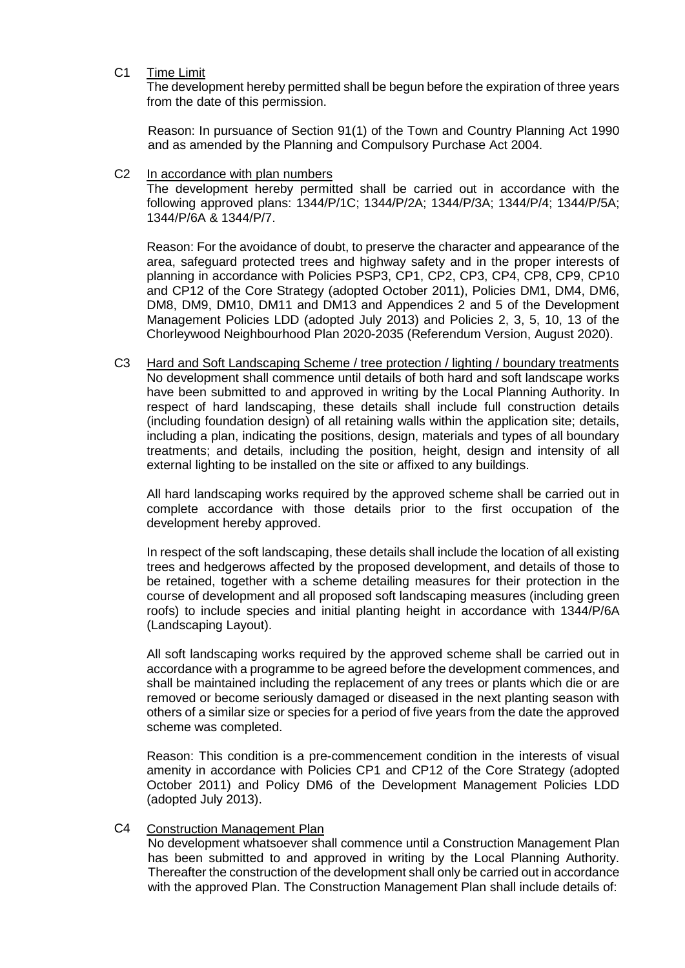## C1 Time Limit

The development hereby permitted shall be begun before the expiration of three years from the date of this permission.

Reason: In pursuance of Section 91(1) of the Town and Country Planning Act 1990 and as amended by the Planning and Compulsory Purchase Act 2004.

### C2 In accordance with plan numbers

The development hereby permitted shall be carried out in accordance with the following approved plans: 1344/P/1C; 1344/P/2A; 1344/P/3A; 1344/P/4; 1344/P/5A; 1344/P/6A & 1344/P/7.

Reason: For the avoidance of doubt, to preserve the character and appearance of the area, safeguard protected trees and highway safety and in the proper interests of planning in accordance with Policies PSP3, CP1, CP2, CP3, CP4, CP8, CP9, CP10 and CP12 of the Core Strategy (adopted October 2011), Policies DM1, DM4, DM6, DM8, DM9, DM10, DM11 and DM13 and Appendices 2 and 5 of the Development Management Policies LDD (adopted July 2013) and Policies 2, 3, 5, 10, 13 of the Chorleywood Neighbourhood Plan 2020-2035 (Referendum Version, August 2020).

C3 Hard and Soft Landscaping Scheme / tree protection / lighting / boundary treatments No development shall commence until details of both hard and soft landscape works have been submitted to and approved in writing by the Local Planning Authority. In respect of hard landscaping, these details shall include full construction details (including foundation design) of all retaining walls within the application site; details, including a plan, indicating the positions, design, materials and types of all boundary treatments; and details, including the position, height, design and intensity of all external lighting to be installed on the site or affixed to any buildings.

All hard landscaping works required by the approved scheme shall be carried out in complete accordance with those details prior to the first occupation of the development hereby approved.

In respect of the soft landscaping, these details shall include the location of all existing trees and hedgerows affected by the proposed development, and details of those to be retained, together with a scheme detailing measures for their protection in the course of development and all proposed soft landscaping measures (including green roofs) to include species and initial planting height in accordance with 1344/P/6A (Landscaping Layout).

All soft landscaping works required by the approved scheme shall be carried out in accordance with a programme to be agreed before the development commences, and shall be maintained including the replacement of any trees or plants which die or are removed or become seriously damaged or diseased in the next planting season with others of a similar size or species for a period of five years from the date the approved scheme was completed.

Reason: This condition is a pre-commencement condition in the interests of visual amenity in accordance with Policies CP1 and CP12 of the Core Strategy (adopted October 2011) and Policy DM6 of the Development Management Policies LDD (adopted July 2013).

### C4 Construction Management Plan

No development whatsoever shall commence until a Construction Management Plan has been submitted to and approved in writing by the Local Planning Authority. Thereafter the construction of the development shall only be carried out in accordance with the approved Plan. The Construction Management Plan shall include details of: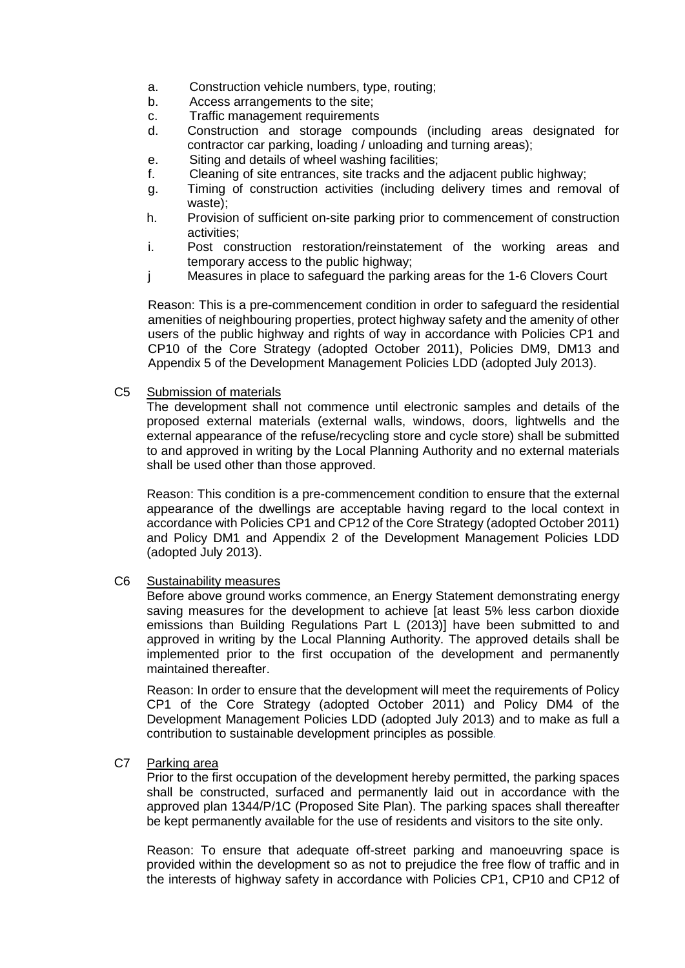- a. Construction vehicle numbers, type, routing;
- b. Access arrangements to the site;
- c. Traffic management requirements
- d. Construction and storage compounds (including areas designated for contractor car parking, loading / unloading and turning areas);
- e. Siting and details of wheel washing facilities;
- f. Cleaning of site entrances, site tracks and the adjacent public highway;
- g. Timing of construction activities (including delivery times and removal of waste);
- h. Provision of sufficient on-site parking prior to commencement of construction activities;
- i. Post construction restoration/reinstatement of the working areas and temporary access to the public highway;
- j Measures in place to safeguard the parking areas for the 1-6 Clovers Court

Reason: This is a pre-commencement condition in order to safeguard the residential amenities of neighbouring properties, protect highway safety and the amenity of other users of the public highway and rights of way in accordance with Policies CP1 and CP10 of the Core Strategy (adopted October 2011), Policies DM9, DM13 and Appendix 5 of the Development Management Policies LDD (adopted July 2013).

C5 Submission of materials

The development shall not commence until electronic samples and details of the proposed external materials (external walls, windows, doors, lightwells and the external appearance of the refuse/recycling store and cycle store) shall be submitted to and approved in writing by the Local Planning Authority and no external materials shall be used other than those approved.

Reason: This condition is a pre-commencement condition to ensure that the external appearance of the dwellings are acceptable having regard to the local context in accordance with Policies CP1 and CP12 of the Core Strategy (adopted October 2011) and Policy DM1 and Appendix 2 of the Development Management Policies LDD (adopted July 2013).

C6 Sustainability measures

Before above ground works commence, an Energy Statement demonstrating energy saving measures for the development to achieve [at least 5% less carbon dioxide emissions than Building Regulations Part L (2013)] have been submitted to and approved in writing by the Local Planning Authority. The approved details shall be implemented prior to the first occupation of the development and permanently maintained thereafter.

Reason: In order to ensure that the development will meet the requirements of Policy CP1 of the Core Strategy (adopted October 2011) and Policy DM4 of the Development Management Policies LDD (adopted July 2013) and to make as full a contribution to sustainable development principles as possible*.*

C7 Parking area

Prior to the first occupation of the development hereby permitted, the parking spaces shall be constructed, surfaced and permanently laid out in accordance with the approved plan 1344/P/1C (Proposed Site Plan). The parking spaces shall thereafter be kept permanently available for the use of residents and visitors to the site only.

Reason: To ensure that adequate off-street parking and manoeuvring space is provided within the development so as not to prejudice the free flow of traffic and in the interests of highway safety in accordance with Policies CP1, CP10 and CP12 of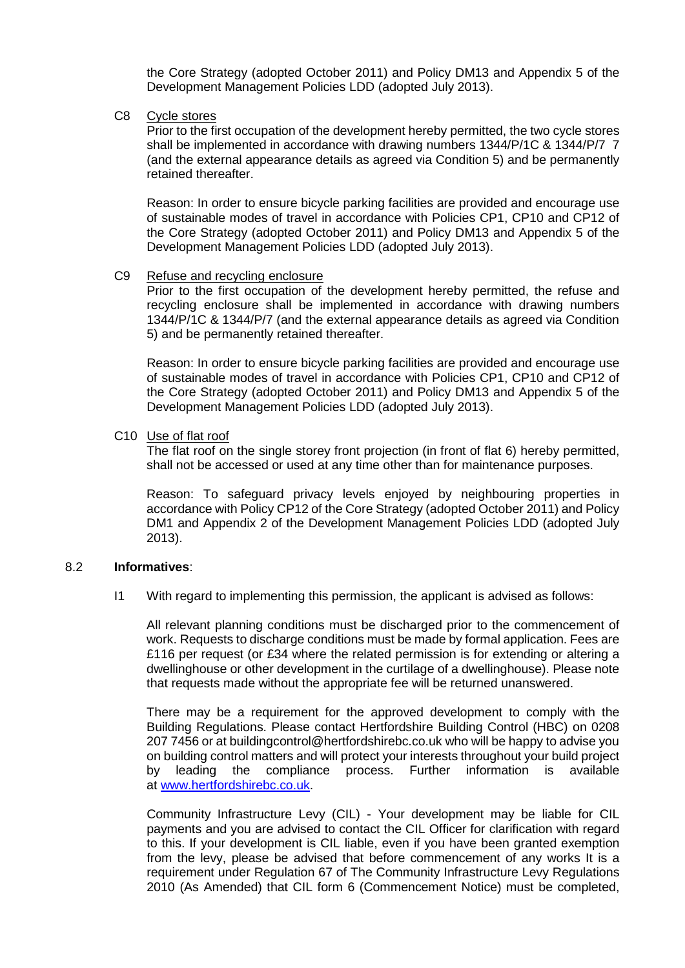the Core Strategy (adopted October 2011) and Policy DM13 and Appendix 5 of the Development Management Policies LDD (adopted July 2013).

C8 Cycle stores

Prior to the first occupation of the development hereby permitted, the two cycle stores shall be implemented in accordance with drawing numbers 1344/P/1C & 1344/P/7 7 (and the external appearance details as agreed via Condition 5) and be permanently retained thereafter.

Reason: In order to ensure bicycle parking facilities are provided and encourage use of sustainable modes of travel in accordance with Policies CP1, CP10 and CP12 of the Core Strategy (adopted October 2011) and Policy DM13 and Appendix 5 of the Development Management Policies LDD (adopted July 2013).

#### C9 Refuse and recycling enclosure

Prior to the first occupation of the development hereby permitted, the refuse and recycling enclosure shall be implemented in accordance with drawing numbers 1344/P/1C & 1344/P/7 (and the external appearance details as agreed via Condition 5) and be permanently retained thereafter.

Reason: In order to ensure bicycle parking facilities are provided and encourage use of sustainable modes of travel in accordance with Policies CP1, CP10 and CP12 of the Core Strategy (adopted October 2011) and Policy DM13 and Appendix 5 of the Development Management Policies LDD (adopted July 2013).

### C10 Use of flat roof

The flat roof on the single storey front projection (in front of flat 6) hereby permitted, shall not be accessed or used at any time other than for maintenance purposes.

Reason: To safeguard privacy levels enjoyed by neighbouring properties in accordance with Policy CP12 of the Core Strategy (adopted October 2011) and Policy DM1 and Appendix 2 of the Development Management Policies LDD (adopted July 2013).

### 8.2 **Informatives**:

I1 With regard to implementing this permission, the applicant is advised as follows:

All relevant planning conditions must be discharged prior to the commencement of work. Requests to discharge conditions must be made by formal application. Fees are £116 per request (or £34 where the related permission is for extending or altering a dwellinghouse or other development in the curtilage of a dwellinghouse). Please note that requests made without the appropriate fee will be returned unanswered.

There may be a requirement for the approved development to comply with the Building Regulations. Please contact Hertfordshire Building Control (HBC) on 0208 207 7456 or at buildingcontrol@hertfordshirebc.co.uk who will be happy to advise you on building control matters and will protect your interests throughout your build project by leading the compliance process. Further information is available at [www.hertfordshirebc.co.uk.](http://www.hertfordshirebc.co.uk/)

Community Infrastructure Levy (CIL) - Your development may be liable for CIL payments and you are advised to contact the CIL Officer for clarification with regard to this. If your development is CIL liable, even if you have been granted exemption from the levy, please be advised that before commencement of any works It is a requirement under Regulation 67 of The Community Infrastructure Levy Regulations 2010 (As Amended) that CIL form 6 (Commencement Notice) must be completed,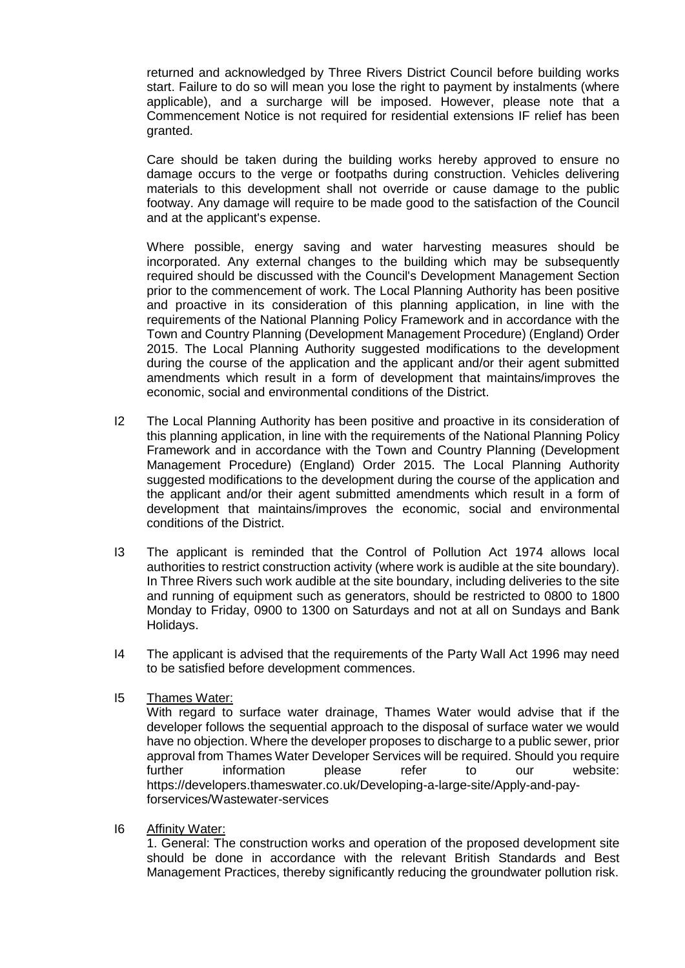returned and acknowledged by Three Rivers District Council before building works start. Failure to do so will mean you lose the right to payment by instalments (where applicable), and a surcharge will be imposed. However, please note that a Commencement Notice is not required for residential extensions IF relief has been granted.

Care should be taken during the building works hereby approved to ensure no damage occurs to the verge or footpaths during construction. Vehicles delivering materials to this development shall not override or cause damage to the public footway. Any damage will require to be made good to the satisfaction of the Council and at the applicant's expense.

Where possible, energy saving and water harvesting measures should be incorporated. Any external changes to the building which may be subsequently required should be discussed with the Council's Development Management Section prior to the commencement of work. The Local Planning Authority has been positive and proactive in its consideration of this planning application, in line with the requirements of the National Planning Policy Framework and in accordance with the Town and Country Planning (Development Management Procedure) (England) Order 2015. The Local Planning Authority suggested modifications to the development during the course of the application and the applicant and/or their agent submitted amendments which result in a form of development that maintains/improves the economic, social and environmental conditions of the District.

- I2 The Local Planning Authority has been positive and proactive in its consideration of this planning application, in line with the requirements of the National Planning Policy Framework and in accordance with the Town and Country Planning (Development Management Procedure) (England) Order 2015. The Local Planning Authority suggested modifications to the development during the course of the application and the applicant and/or their agent submitted amendments which result in a form of development that maintains/improves the economic, social and environmental conditions of the District.
- I3 The applicant is reminded that the Control of Pollution Act 1974 allows local authorities to restrict construction activity (where work is audible at the site boundary). In Three Rivers such work audible at the site boundary, including deliveries to the site and running of equipment such as generators, should be restricted to 0800 to 1800 Monday to Friday, 0900 to 1300 on Saturdays and not at all on Sundays and Bank Holidays.
- I4 The applicant is advised that the requirements of the Party Wall Act 1996 may need to be satisfied before development commences.
- I5 Thames Water:

With regard to surface water drainage, Thames Water would advise that if the developer follows the sequential approach to the disposal of surface water we would have no objection. Where the developer proposes to discharge to a public sewer, prior approval from Thames Water Developer Services will be required. Should you require further information please refer to our website: https://developers.thameswater.co.uk/Developing-a-large-site/Apply-and-payforservices/Wastewater-services

I6 Affinity Water:

1. General: The construction works and operation of the proposed development site should be done in accordance with the relevant British Standards and Best Management Practices, thereby significantly reducing the groundwater pollution risk.